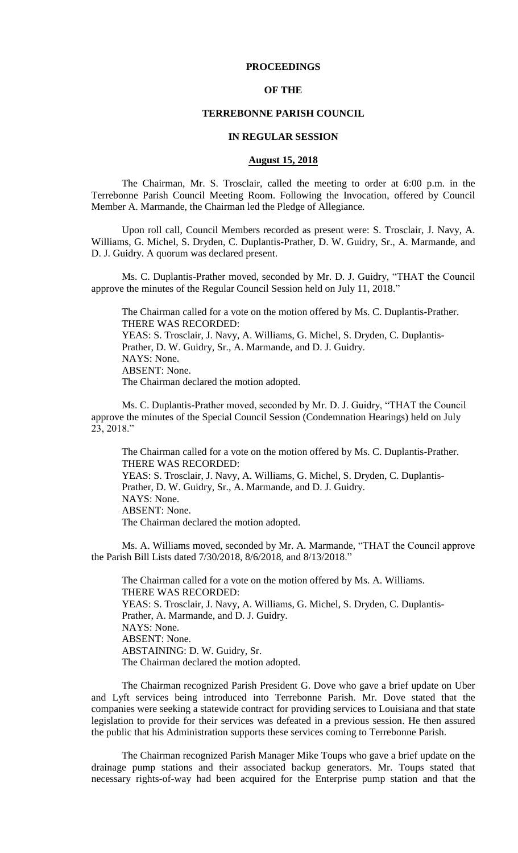## **PROCEEDINGS**

## **OF THE**

### **TERREBONNE PARISH COUNCIL**

### **IN REGULAR SESSION**

### **August 15, 2018**

The Chairman, Mr. S. Trosclair, called the meeting to order at 6:00 p.m. in the Terrebonne Parish Council Meeting Room. Following the Invocation, offered by Council Member A. Marmande, the Chairman led the Pledge of Allegiance.

Upon roll call, Council Members recorded as present were: S. Trosclair, J. Navy, A. Williams, G. Michel, S. Dryden, C. Duplantis-Prather, D. W. Guidry, Sr., A. Marmande, and D. J. Guidry. A quorum was declared present.

Ms. C. Duplantis-Prather moved, seconded by Mr. D. J. Guidry, "THAT the Council approve the minutes of the Regular Council Session held on July 11, 2018."

The Chairman called for a vote on the motion offered by Ms. C. Duplantis-Prather. THERE WAS RECORDED:

YEAS: S. Trosclair, J. Navy, A. Williams, G. Michel, S. Dryden, C. Duplantis-Prather, D. W. Guidry, Sr., A. Marmande, and D. J. Guidry. NAYS: None. ABSENT: None. The Chairman declared the motion adopted.

Ms. C. Duplantis-Prather moved, seconded by Mr. D. J. Guidry, "THAT the Council approve the minutes of the Special Council Session (Condemnation Hearings) held on July 23, 2018."

The Chairman called for a vote on the motion offered by Ms. C. Duplantis-Prather. THERE WAS RECORDED: YEAS: S. Trosclair, J. Navy, A. Williams, G. Michel, S. Dryden, C. Duplantis-Prather, D. W. Guidry, Sr., A. Marmande, and D. J. Guidry. NAYS: None. ABSENT: None. The Chairman declared the motion adopted.

Ms. A. Williams moved, seconded by Mr. A. Marmande, "THAT the Council approve the Parish Bill Lists dated 7/30/2018, 8/6/2018, and 8/13/2018."

The Chairman called for a vote on the motion offered by Ms. A. Williams. THERE WAS RECORDED: YEAS: S. Trosclair, J. Navy, A. Williams, G. Michel, S. Dryden, C. Duplantis-Prather, A. Marmande, and D. J. Guidry. NAYS: None. ABSENT: None. ABSTAINING: D. W. Guidry, Sr. The Chairman declared the motion adopted.

The Chairman recognized Parish President G. Dove who gave a brief update on Uber and Lyft services being introduced into Terrebonne Parish. Mr. Dove stated that the companies were seeking a statewide contract for providing services to Louisiana and that state legislation to provide for their services was defeated in a previous session. He then assured the public that his Administration supports these services coming to Terrebonne Parish.

The Chairman recognized Parish Manager Mike Toups who gave a brief update on the drainage pump stations and their associated backup generators. Mr. Toups stated that necessary rights-of-way had been acquired for the Enterprise pump station and that the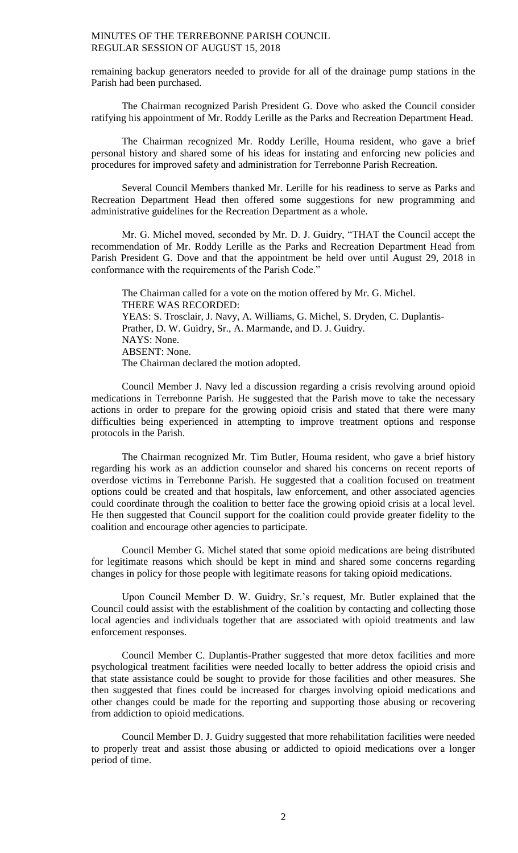remaining backup generators needed to provide for all of the drainage pump stations in the Parish had been purchased.

The Chairman recognized Parish President G. Dove who asked the Council consider ratifying his appointment of Mr. Roddy Lerille as the Parks and Recreation Department Head.

The Chairman recognized Mr. Roddy Lerille, Houma resident, who gave a brief personal history and shared some of his ideas for instating and enforcing new policies and procedures for improved safety and administration for Terrebonne Parish Recreation.

Several Council Members thanked Mr. Lerille for his readiness to serve as Parks and Recreation Department Head then offered some suggestions for new programming and administrative guidelines for the Recreation Department as a whole.

Mr. G. Michel moved, seconded by Mr. D. J. Guidry, "THAT the Council accept the recommendation of Mr. Roddy Lerille as the Parks and Recreation Department Head from Parish President G. Dove and that the appointment be held over until August 29, 2018 in conformance with the requirements of the Parish Code."

The Chairman called for a vote on the motion offered by Mr. G. Michel. THERE WAS RECORDED: YEAS: S. Trosclair, J. Navy, A. Williams, G. Michel, S. Dryden, C. Duplantis-Prather, D. W. Guidry, Sr., A. Marmande, and D. J. Guidry. NAYS: None. ABSENT: None. The Chairman declared the motion adopted.

Council Member J. Navy led a discussion regarding a crisis revolving around opioid medications in Terrebonne Parish. He suggested that the Parish move to take the necessary actions in order to prepare for the growing opioid crisis and stated that there were many difficulties being experienced in attempting to improve treatment options and response protocols in the Parish.

The Chairman recognized Mr. Tim Butler, Houma resident, who gave a brief history regarding his work as an addiction counselor and shared his concerns on recent reports of overdose victims in Terrebonne Parish. He suggested that a coalition focused on treatment options could be created and that hospitals, law enforcement, and other associated agencies could coordinate through the coalition to better face the growing opioid crisis at a local level. He then suggested that Council support for the coalition could provide greater fidelity to the coalition and encourage other agencies to participate.

Council Member G. Michel stated that some opioid medications are being distributed for legitimate reasons which should be kept in mind and shared some concerns regarding changes in policy for those people with legitimate reasons for taking opioid medications.

Upon Council Member D. W. Guidry, Sr.'s request, Mr. Butler explained that the Council could assist with the establishment of the coalition by contacting and collecting those local agencies and individuals together that are associated with opioid treatments and law enforcement responses.

Council Member C. Duplantis-Prather suggested that more detox facilities and more psychological treatment facilities were needed locally to better address the opioid crisis and that state assistance could be sought to provide for those facilities and other measures. She then suggested that fines could be increased for charges involving opioid medications and other changes could be made for the reporting and supporting those abusing or recovering from addiction to opioid medications.

Council Member D. J. Guidry suggested that more rehabilitation facilities were needed to properly treat and assist those abusing or addicted to opioid medications over a longer period of time.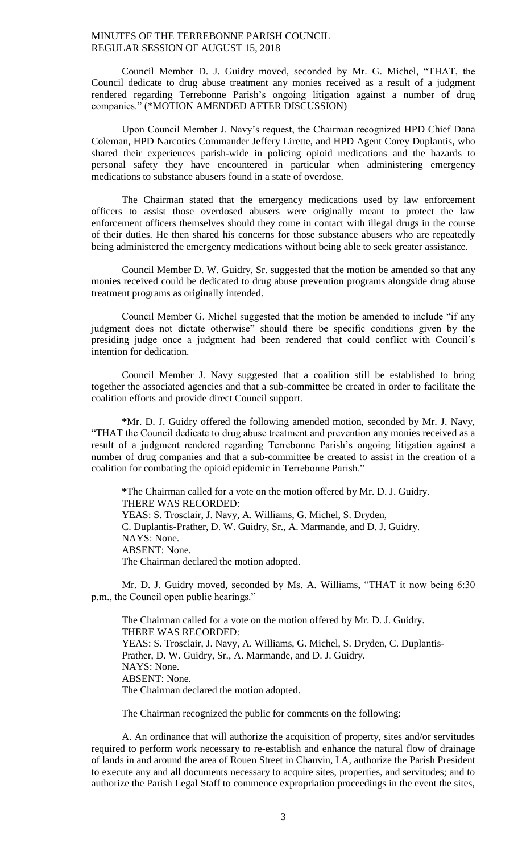Council Member D. J. Guidry moved, seconded by Mr. G. Michel, "THAT, the Council dedicate to drug abuse treatment any monies received as a result of a judgment rendered regarding Terrebonne Parish's ongoing litigation against a number of drug companies." (\*MOTION AMENDED AFTER DISCUSSION)

Upon Council Member J. Navy's request, the Chairman recognized HPD Chief Dana Coleman, HPD Narcotics Commander Jeffery Lirette, and HPD Agent Corey Duplantis, who shared their experiences parish-wide in policing opioid medications and the hazards to personal safety they have encountered in particular when administering emergency medications to substance abusers found in a state of overdose.

The Chairman stated that the emergency medications used by law enforcement officers to assist those overdosed abusers were originally meant to protect the law enforcement officers themselves should they come in contact with illegal drugs in the course of their duties. He then shared his concerns for those substance abusers who are repeatedly being administered the emergency medications without being able to seek greater assistance.

Council Member D. W. Guidry, Sr. suggested that the motion be amended so that any monies received could be dedicated to drug abuse prevention programs alongside drug abuse treatment programs as originally intended.

Council Member G. Michel suggested that the motion be amended to include "if any judgment does not dictate otherwise" should there be specific conditions given by the presiding judge once a judgment had been rendered that could conflict with Council's intention for dedication.

Council Member J. Navy suggested that a coalition still be established to bring together the associated agencies and that a sub-committee be created in order to facilitate the coalition efforts and provide direct Council support.

**\***Mr. D. J. Guidry offered the following amended motion, seconded by Mr. J. Navy, "THAT the Council dedicate to drug abuse treatment and prevention any monies received as a result of a judgment rendered regarding Terrebonne Parish's ongoing litigation against a number of drug companies and that a sub-committee be created to assist in the creation of a coalition for combating the opioid epidemic in Terrebonne Parish."

**\***The Chairman called for a vote on the motion offered by Mr. D. J. Guidry. THERE WAS RECORDED: YEAS: S. Trosclair, J. Navy, A. Williams, G. Michel, S. Dryden, C. Duplantis-Prather, D. W. Guidry, Sr., A. Marmande, and D. J. Guidry. NAYS: None. ABSENT: None. The Chairman declared the motion adopted.

Mr. D. J. Guidry moved, seconded by Ms. A. Williams, "THAT it now being 6:30 p.m., the Council open public hearings."

The Chairman called for a vote on the motion offered by Mr. D. J. Guidry. THERE WAS RECORDED: YEAS: S. Trosclair, J. Navy, A. Williams, G. Michel, S. Dryden, C. Duplantis-Prather, D. W. Guidry, Sr., A. Marmande, and D. J. Guidry. NAYS: None. ABSENT: None. The Chairman declared the motion adopted.

The Chairman recognized the public for comments on the following:

A. An ordinance that will authorize the acquisition of property, sites and/or servitudes required to perform work necessary to re-establish and enhance the natural flow of drainage of lands in and around the area of Rouen Street in Chauvin, LA, authorize the Parish President to execute any and all documents necessary to acquire sites, properties, and servitudes; and to authorize the Parish Legal Staff to commence expropriation proceedings in the event the sites,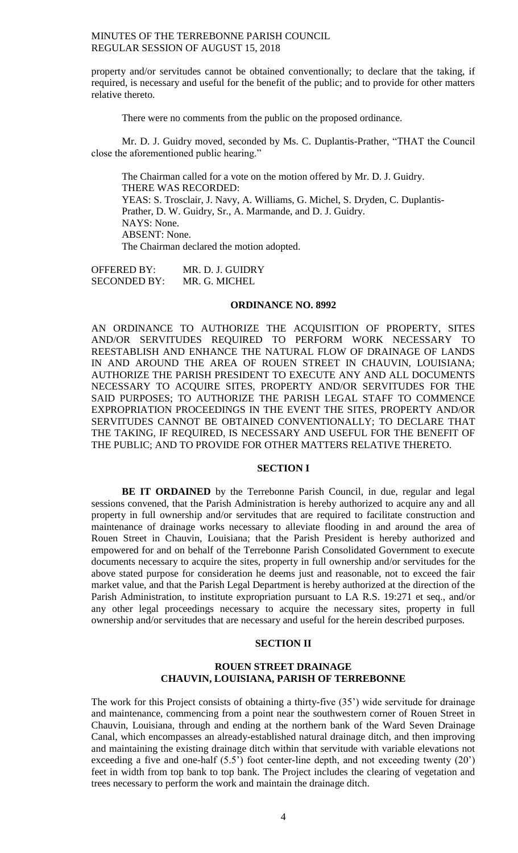property and/or servitudes cannot be obtained conventionally; to declare that the taking, if required, is necessary and useful for the benefit of the public; and to provide for other matters relative thereto.

There were no comments from the public on the proposed ordinance.

Mr. D. J. Guidry moved, seconded by Ms. C. Duplantis-Prather, "THAT the Council close the aforementioned public hearing."

The Chairman called for a vote on the motion offered by Mr. D. J. Guidry. THERE WAS RECORDED: YEAS: S. Trosclair, J. Navy, A. Williams, G. Michel, S. Dryden, C. Duplantis-Prather, D. W. Guidry, Sr., A. Marmande, and D. J. Guidry. NAYS: None. ABSENT: None. The Chairman declared the motion adopted.

OFFERED BY: MR. D. J. GUIDRY SECONDED BY: MR. G. MICHEL

# **ORDINANCE NO. 8992**

AN ORDINANCE TO AUTHORIZE THE ACQUISITION OF PROPERTY, SITES AND/OR SERVITUDES REQUIRED TO PERFORM WORK NECESSARY TO REESTABLISH AND ENHANCE THE NATURAL FLOW OF DRAINAGE OF LANDS IN AND AROUND THE AREA OF ROUEN STREET IN CHAUVIN, LOUISIANA; AUTHORIZE THE PARISH PRESIDENT TO EXECUTE ANY AND ALL DOCUMENTS NECESSARY TO ACQUIRE SITES, PROPERTY AND/OR SERVITUDES FOR THE SAID PURPOSES; TO AUTHORIZE THE PARISH LEGAL STAFF TO COMMENCE EXPROPRIATION PROCEEDINGS IN THE EVENT THE SITES, PROPERTY AND/OR SERVITUDES CANNOT BE OBTAINED CONVENTIONALLY; TO DECLARE THAT THE TAKING, IF REQUIRED, IS NECESSARY AND USEFUL FOR THE BENEFIT OF THE PUBLIC; AND TO PROVIDE FOR OTHER MATTERS RELATIVE THERETO.

### **SECTION I**

**BE IT ORDAINED** by the Terrebonne Parish Council, in due, regular and legal sessions convened, that the Parish Administration is hereby authorized to acquire any and all property in full ownership and/or servitudes that are required to facilitate construction and maintenance of drainage works necessary to alleviate flooding in and around the area of Rouen Street in Chauvin, Louisiana; that the Parish President is hereby authorized and empowered for and on behalf of the Terrebonne Parish Consolidated Government to execute documents necessary to acquire the sites, property in full ownership and/or servitudes for the above stated purpose for consideration he deems just and reasonable, not to exceed the fair market value, and that the Parish Legal Department is hereby authorized at the direction of the Parish Administration, to institute expropriation pursuant to LA R.S. 19:271 et seq., and/or any other legal proceedings necessary to acquire the necessary sites, property in full ownership and/or servitudes that are necessary and useful for the herein described purposes.

# **SECTION II**

## **ROUEN STREET DRAINAGE CHAUVIN, LOUISIANA, PARISH OF TERREBONNE**

The work for this Project consists of obtaining a thirty-five (35') wide servitude for drainage and maintenance, commencing from a point near the southwestern corner of Rouen Street in Chauvin, Louisiana, through and ending at the northern bank of the Ward Seven Drainage Canal, which encompasses an already-established natural drainage ditch, and then improving and maintaining the existing drainage ditch within that servitude with variable elevations not exceeding a five and one-half (5.5') foot center-line depth, and not exceeding twenty (20') feet in width from top bank to top bank. The Project includes the clearing of vegetation and trees necessary to perform the work and maintain the drainage ditch.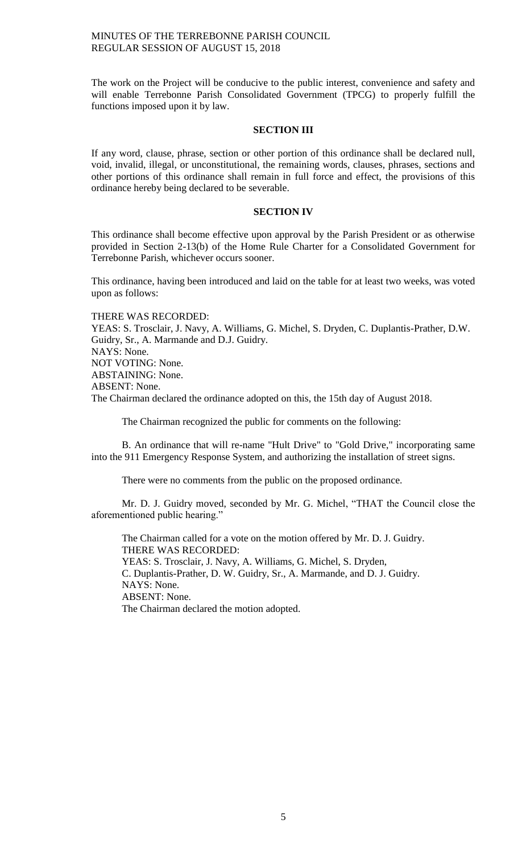The work on the Project will be conducive to the public interest, convenience and safety and will enable Terrebonne Parish Consolidated Government (TPCG) to properly fulfill the functions imposed upon it by law.

### **SECTION III**

If any word, clause, phrase, section or other portion of this ordinance shall be declared null, void, invalid, illegal, or unconstitutional, the remaining words, clauses, phrases, sections and other portions of this ordinance shall remain in full force and effect, the provisions of this ordinance hereby being declared to be severable.

# **SECTION IV**

This ordinance shall become effective upon approval by the Parish President or as otherwise provided in Section 2-13(b) of the Home Rule Charter for a Consolidated Government for Terrebonne Parish, whichever occurs sooner.

This ordinance, having been introduced and laid on the table for at least two weeks, was voted upon as follows:

THERE WAS RECORDED: YEAS: S. Trosclair, J. Navy, A. Williams, G. Michel, S. Dryden, C. Duplantis-Prather, D.W. Guidry, Sr., A. Marmande and D.J. Guidry. NAYS: None. NOT VOTING: None. ABSTAINING: None. ABSENT: None. The Chairman declared the ordinance adopted on this, the 15th day of August 2018.

The Chairman recognized the public for comments on the following:

B. An ordinance that will re-name "Hult Drive" to "Gold Drive," incorporating same into the 911 Emergency Response System, and authorizing the installation of street signs.

There were no comments from the public on the proposed ordinance.

Mr. D. J. Guidry moved, seconded by Mr. G. Michel, "THAT the Council close the aforementioned public hearing."

The Chairman called for a vote on the motion offered by Mr. D. J. Guidry. THERE WAS RECORDED: YEAS: S. Trosclair, J. Navy, A. Williams, G. Michel, S. Dryden, C. Duplantis-Prather, D. W. Guidry, Sr., A. Marmande, and D. J. Guidry. NAYS: None. ABSENT: None. The Chairman declared the motion adopted.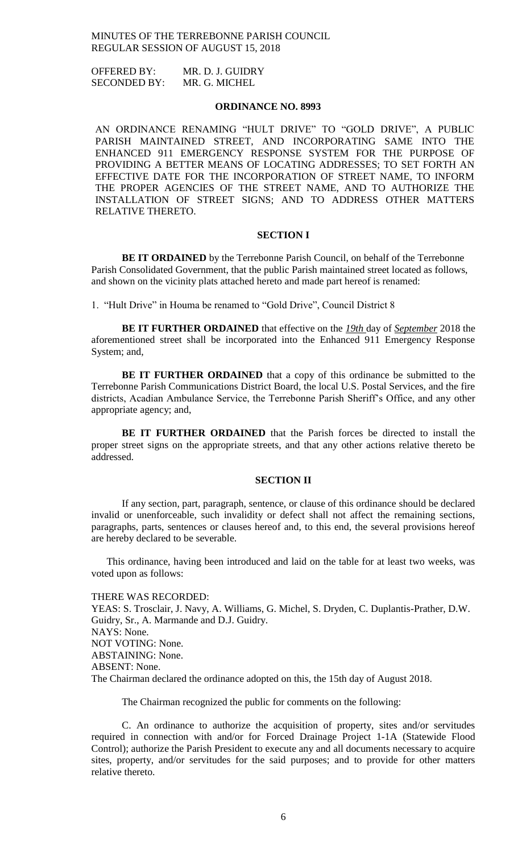OFFERED BY: MR. D. J. GUIDRY SECONDED BY: MR. G. MICHEL

# **ORDINANCE NO. 8993**

AN ORDINANCE RENAMING "HULT DRIVE" TO "GOLD DRIVE", A PUBLIC PARISH MAINTAINED STREET, AND INCORPORATING SAME INTO THE ENHANCED 911 EMERGENCY RESPONSE SYSTEM FOR THE PURPOSE OF PROVIDING A BETTER MEANS OF LOCATING ADDRESSES; TO SET FORTH AN EFFECTIVE DATE FOR THE INCORPORATION OF STREET NAME, TO INFORM THE PROPER AGENCIES OF THE STREET NAME, AND TO AUTHORIZE THE INSTALLATION OF STREET SIGNS; AND TO ADDRESS OTHER MATTERS RELATIVE THERETO.

### **SECTION I**

**BE IT ORDAINED** by the Terrebonne Parish Council, on behalf of the Terrebonne Parish Consolidated Government, that the public Parish maintained street located as follows, and shown on the vicinity plats attached hereto and made part hereof is renamed:

1. "Hult Drive" in Houma be renamed to "Gold Drive", Council District 8

**BE IT FURTHER ORDAINED** that effective on the *19th* day of *September* 2018 the aforementioned street shall be incorporated into the Enhanced 911 Emergency Response System; and,

**BE IT FURTHER ORDAINED** that a copy of this ordinance be submitted to the Terrebonne Parish Communications District Board, the local U.S. Postal Services, and the fire districts, Acadian Ambulance Service, the Terrebonne Parish Sheriff's Office, and any other appropriate agency; and,

**BE IT FURTHER ORDAINED** that the Parish forces be directed to install the proper street signs on the appropriate streets, and that any other actions relative thereto be addressed.

### **SECTION II**

If any section, part, paragraph, sentence, or clause of this ordinance should be declared invalid or unenforceable, such invalidity or defect shall not affect the remaining sections, paragraphs, parts, sentences or clauses hereof and, to this end, the several provisions hereof are hereby declared to be severable.

This ordinance, having been introduced and laid on the table for at least two weeks, was voted upon as follows:

### THERE WAS RECORDED:

YEAS: S. Trosclair, J. Navy, A. Williams, G. Michel, S. Dryden, C. Duplantis-Prather, D.W. Guidry, Sr., A. Marmande and D.J. Guidry. NAYS: None. NOT VOTING: None. ABSTAINING: None. ABSENT: None. The Chairman declared the ordinance adopted on this, the 15th day of August 2018.

The Chairman recognized the public for comments on the following:

C. An ordinance to authorize the acquisition of property, sites and/or servitudes required in connection with and/or for Forced Drainage Project 1-1A (Statewide Flood Control); authorize the Parish President to execute any and all documents necessary to acquire sites, property, and/or servitudes for the said purposes; and to provide for other matters relative thereto.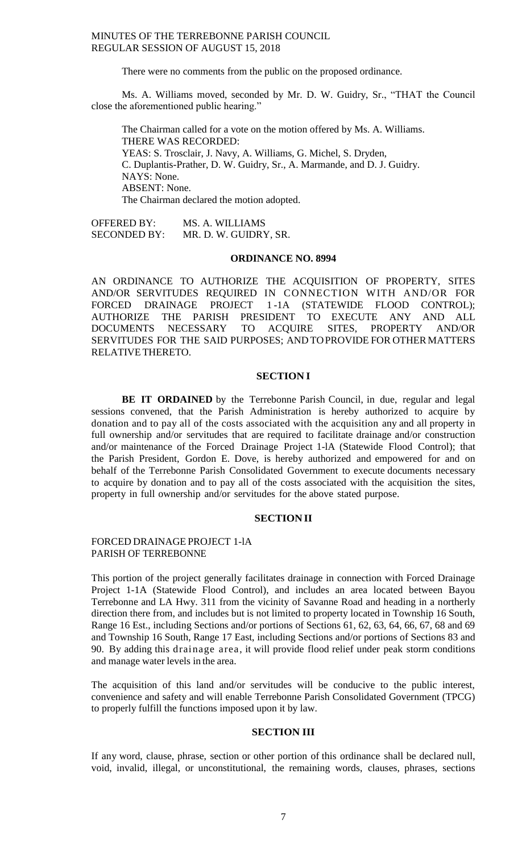There were no comments from the public on the proposed ordinance.

Ms. A. Williams moved, seconded by Mr. D. W. Guidry, Sr., "THAT the Council close the aforementioned public hearing."

The Chairman called for a vote on the motion offered by Ms. A. Williams. THERE WAS RECORDED: YEAS: S. Trosclair, J. Navy, A. Williams, G. Michel, S. Dryden, C. Duplantis-Prather, D. W. Guidry, Sr., A. Marmande, and D. J. Guidry. NAYS: None. ABSENT: None. The Chairman declared the motion adopted.

OFFERED BY: MS. A. WILLIAMS SECONDED BY: MR. D. W. GUIDRY, SR.

### **ORDINANCE NO. 8994**

AN ORDINANCE TO AUTHORIZE THE ACQUISITION OF PROPERTY, SITES AND/OR SERVITUDES REQUIRED IN CONNECTION WITH AND/OR FOR FORCED DRAINAGE PROJECT 1 -1A (STATEWIDE FLOOD CONTROL); AUTHORIZE THE PARISH PRESIDENT TO EXECUTE ANY AND ALL DOCUMENTS NECESSARY TO ACQUIRE SITES, PROPERTY AND/OR SERVITUDES FOR THE SAID PURPOSES; AND TOPROVIDE FOR OTHER MATTERS RELATIVE THERETO.

### **SECTION I**

**BE IT ORDAINED** by the Terrebonne Parish Council, in due, regular and legal sessions convened, that the Parish Administration is hereby authorized to acquire by donation and to pay all of the costs associated with the acquisition any and all property in full ownership and/or servitudes that are required to facilitate drainage and/or construction and/or maintenance of the Forced Drainage Project 1-lA (Statewide Flood Control); that the Parish President, Gordon E. Dove, is hereby authorized and empowered for and on behalf of the Terrebonne Parish Consolidated Government to execute documents necessary to acquire by donation and to pay all of the costs associated with the acquisition the sites, property in full ownership and/or servitudes for the above stated purpose.

## **SECTIONII**

## FORCED DRAINAGE PROJECT 1-lA PARISH OF TERREBONNE

This portion of the project generally facilitates drainage in connection with Forced Drainage Project 1-1A (Statewide Flood Control), and includes an area located between Bayou Terrebonne and LA Hwy. 311 from the vicinity of Savanne Road and heading in a northerly direction there from, and includes but is not limited to property located in Township 16 South, Range 16 Est., including Sections and/or portions of Sections 61, 62, 63, 64, 66, 67, 68 and 69 and Township 16 South, Range 17 East, including Sections and/or portions of Sections 83 and 90. By adding this drainage area, it will provide flood relief under peak storm conditions and manage water levels in the area.

The acquisition of this land and/or servitudes will be conducive to the public interest, convenience and safety and will enable Terrebonne Parish Consolidated Government (TPCG) to properly fulfill the functions imposed upon it by law.

# **SECTION III**

If any word, clause, phrase, section or other portion of this ordinance shall be declared null, void, invalid, illegal, or unconstitutional, the remaining words, clauses, phrases, sections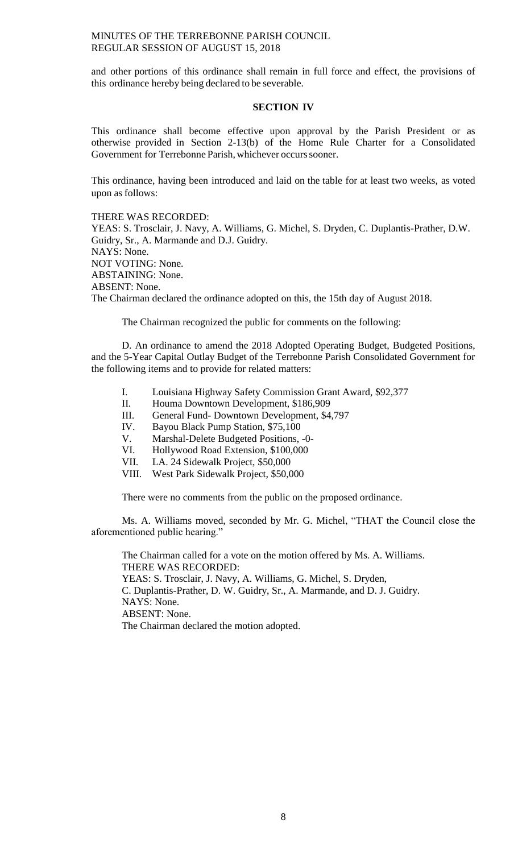and other portions of this ordinance shall remain in full force and effect, the provisions of this ordinance hereby being declared to be severable.

### **SECTION IV**

This ordinance shall become effective upon approval by the Parish President or as otherwise provided in Section 2-13(b) of the Home Rule Charter for a Consolidated Government for Terrebonne Parish, whichever occurs sooner.

This ordinance, having been introduced and laid on the table for at least two weeks, as voted upon as follows:

THERE WAS RECORDED: YEAS: S. Trosclair, J. Navy, A. Williams, G. Michel, S. Dryden, C. Duplantis-Prather, D.W. Guidry, Sr., A. Marmande and D.J. Guidry. NAYS: None. NOT VOTING: None. ABSTAINING: None. ABSENT: None.

The Chairman declared the ordinance adopted on this, the 15th day of August 2018.

The Chairman recognized the public for comments on the following:

D. An ordinance to amend the 2018 Adopted Operating Budget, Budgeted Positions, and the 5-Year Capital Outlay Budget of the Terrebonne Parish Consolidated Government for the following items and to provide for related matters:

- I. Louisiana Highway Safety Commission Grant Award, \$92,377
- II. Houma Downtown Development, \$186,909
- III. General Fund- Downtown Development, \$4,797
- IV. Bayou Black Pump Station, \$75,100
- V. Marshal-Delete Budgeted Positions, -0-
- VI. Hollywood Road Extension, \$100,000
- VII. LA. 24 Sidewalk Project, \$50,000
- VIII. West Park Sidewalk Project, \$50,000

There were no comments from the public on the proposed ordinance.

Ms. A. Williams moved, seconded by Mr. G. Michel, "THAT the Council close the aforementioned public hearing."

The Chairman called for a vote on the motion offered by Ms. A. Williams. THERE WAS RECORDED: YEAS: S. Trosclair, J. Navy, A. Williams, G. Michel, S. Dryden, C. Duplantis-Prather, D. W. Guidry, Sr., A. Marmande, and D. J. Guidry. NAYS: None. ABSENT: None. The Chairman declared the motion adopted.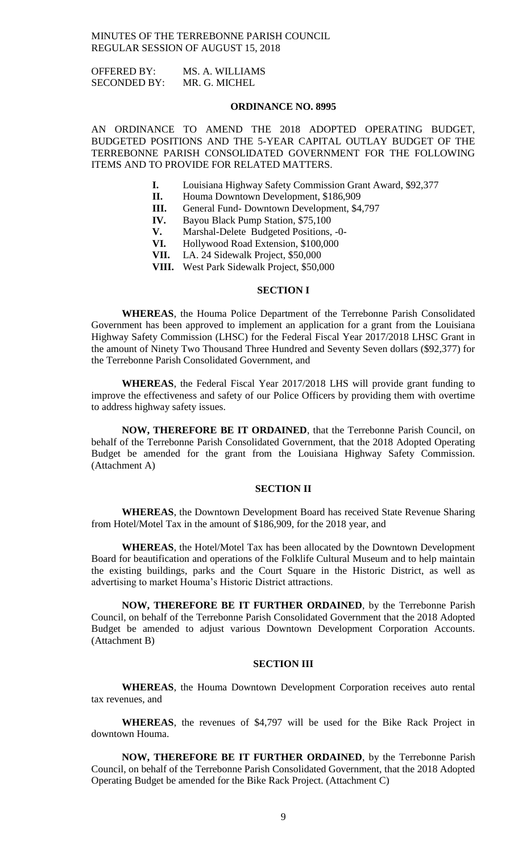OFFERED BY: MS. A. WILLIAMS SECONDED BY: MR. G. MICHEL

### **ORDINANCE NO. 8995**

AN ORDINANCE TO AMEND THE 2018 ADOPTED OPERATING BUDGET, BUDGETED POSITIONS AND THE 5-YEAR CAPITAL OUTLAY BUDGET OF THE TERREBONNE PARISH CONSOLIDATED GOVERNMENT FOR THE FOLLOWING ITEMS AND TO PROVIDE FOR RELATED MATTERS.

- **I.** Louisiana Highway Safety Commission Grant Award, \$92,377
- **II.** Houma Downtown Development, \$186,909
- **III.** General Fund- Downtown Development, \$4,797
- **IV.** Bayou Black Pump Station, \$75,100
- **V.** Marshal-Delete Budgeted Positions, -0-
- **VI.** Hollywood Road Extension, \$100,000
- **VII.** LA. 24 Sidewalk Project, \$50,000
- **VIII.** West Park Sidewalk Project, \$50,000

## **SECTION I**

**WHEREAS**, the Houma Police Department of the Terrebonne Parish Consolidated Government has been approved to implement an application for a grant from the Louisiana Highway Safety Commission (LHSC) for the Federal Fiscal Year 2017/2018 LHSC Grant in the amount of Ninety Two Thousand Three Hundred and Seventy Seven dollars (\$92,377) for the Terrebonne Parish Consolidated Government, and

**WHEREAS**, the Federal Fiscal Year 2017/2018 LHS will provide grant funding to improve the effectiveness and safety of our Police Officers by providing them with overtime to address highway safety issues.

**NOW, THEREFORE BE IT ORDAINED**, that the Terrebonne Parish Council, on behalf of the Terrebonne Parish Consolidated Government, that the 2018 Adopted Operating Budget be amended for the grant from the Louisiana Highway Safety Commission. (Attachment A)

### **SECTION II**

**WHEREAS**, the Downtown Development Board has received State Revenue Sharing from Hotel/Motel Tax in the amount of \$186,909, for the 2018 year, and

**WHEREAS**, the Hotel/Motel Tax has been allocated by the Downtown Development Board for beautification and operations of the Folklife Cultural Museum and to help maintain the existing buildings, parks and the Court Square in the Historic District, as well as advertising to market Houma's Historic District attractions.

**NOW, THEREFORE BE IT FURTHER ORDAINED**, by the Terrebonne Parish Council, on behalf of the Terrebonne Parish Consolidated Government that the 2018 Adopted Budget be amended to adjust various Downtown Development Corporation Accounts. (Attachment B)

### **SECTION III**

**WHEREAS**, the Houma Downtown Development Corporation receives auto rental tax revenues, and

**WHEREAS**, the revenues of \$4,797 will be used for the Bike Rack Project in downtown Houma.

**NOW, THEREFORE BE IT FURTHER ORDAINED**, by the Terrebonne Parish Council, on behalf of the Terrebonne Parish Consolidated Government, that the 2018 Adopted Operating Budget be amended for the Bike Rack Project. (Attachment C)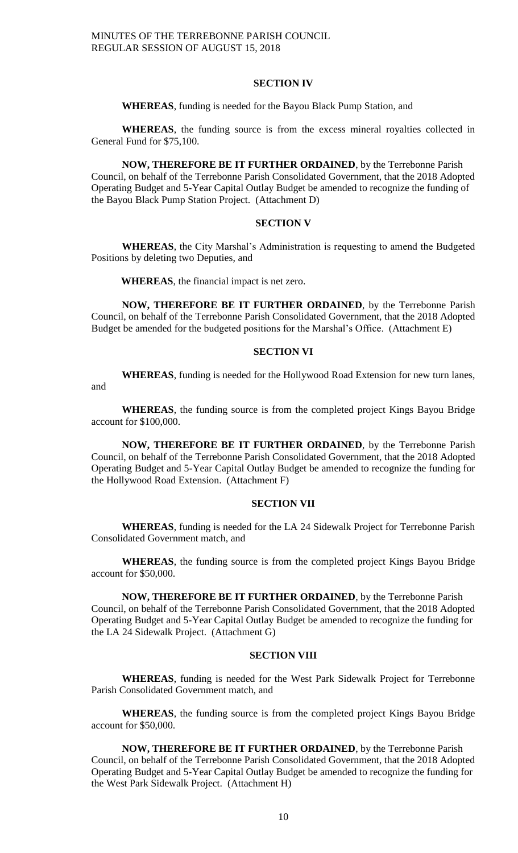### **SECTION IV**

### **WHEREAS**, funding is needed for the Bayou Black Pump Station, and

**WHEREAS**, the funding source is from the excess mineral royalties collected in General Fund for \$75,100.

**NOW, THEREFORE BE IT FURTHER ORDAINED**, by the Terrebonne Parish Council, on behalf of the Terrebonne Parish Consolidated Government, that the 2018 Adopted Operating Budget and 5-Year Capital Outlay Budget be amended to recognize the funding of the Bayou Black Pump Station Project. (Attachment D)

### **SECTION V**

**WHEREAS**, the City Marshal's Administration is requesting to amend the Budgeted Positions by deleting two Deputies, and

**WHEREAS**, the financial impact is net zero.

**NOW, THEREFORE BE IT FURTHER ORDAINED**, by the Terrebonne Parish Council, on behalf of the Terrebonne Parish Consolidated Government, that the 2018 Adopted Budget be amended for the budgeted positions for the Marshal's Office. (Attachment E)

### **SECTION VI**

**WHEREAS**, funding is needed for the Hollywood Road Extension for new turn lanes, and

**WHEREAS**, the funding source is from the completed project Kings Bayou Bridge account for \$100,000.

**NOW, THEREFORE BE IT FURTHER ORDAINED**, by the Terrebonne Parish Council, on behalf of the Terrebonne Parish Consolidated Government, that the 2018 Adopted Operating Budget and 5-Year Capital Outlay Budget be amended to recognize the funding for the Hollywood Road Extension. (Attachment F)

## **SECTION VII**

**WHEREAS**, funding is needed for the LA 24 Sidewalk Project for Terrebonne Parish Consolidated Government match, and

**WHEREAS**, the funding source is from the completed project Kings Bayou Bridge account for \$50,000.

**NOW, THEREFORE BE IT FURTHER ORDAINED**, by the Terrebonne Parish Council, on behalf of the Terrebonne Parish Consolidated Government, that the 2018 Adopted Operating Budget and 5-Year Capital Outlay Budget be amended to recognize the funding for the LA 24 Sidewalk Project. (Attachment G)

## **SECTION VIII**

**WHEREAS**, funding is needed for the West Park Sidewalk Project for Terrebonne Parish Consolidated Government match, and

**WHEREAS**, the funding source is from the completed project Kings Bayou Bridge account for \$50,000.

**NOW, THEREFORE BE IT FURTHER ORDAINED**, by the Terrebonne Parish Council, on behalf of the Terrebonne Parish Consolidated Government, that the 2018 Adopted Operating Budget and 5-Year Capital Outlay Budget be amended to recognize the funding for the West Park Sidewalk Project. (Attachment H)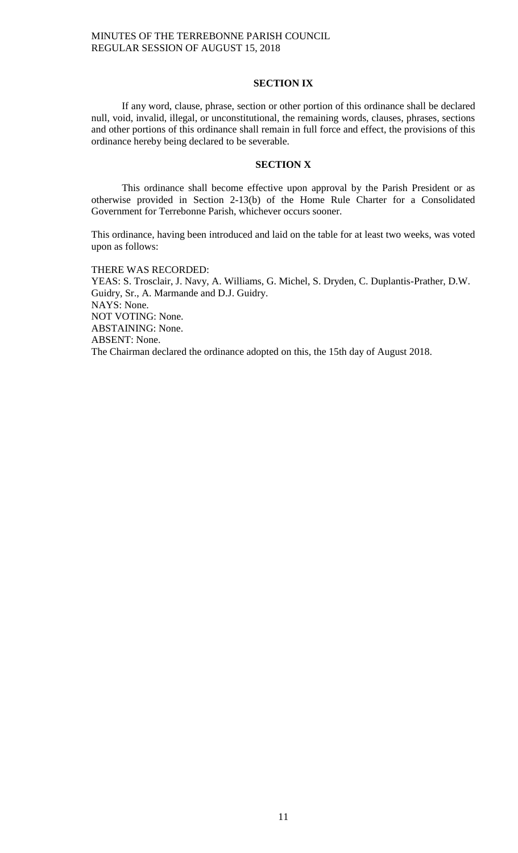## **SECTION IX**

If any word, clause, phrase, section or other portion of this ordinance shall be declared null, void, invalid, illegal, or unconstitutional, the remaining words, clauses, phrases, sections and other portions of this ordinance shall remain in full force and effect, the provisions of this ordinance hereby being declared to be severable.

### **SECTION X**

This ordinance shall become effective upon approval by the Parish President or as otherwise provided in Section 2-13(b) of the Home Rule Charter for a Consolidated Government for Terrebonne Parish, whichever occurs sooner.

This ordinance, having been introduced and laid on the table for at least two weeks, was voted upon as follows:

THERE WAS RECORDED:

YEAS: S. Trosclair, J. Navy, A. Williams, G. Michel, S. Dryden, C. Duplantis-Prather, D.W. Guidry, Sr., A. Marmande and D.J. Guidry. NAYS: None. NOT VOTING: None. ABSTAINING: None. ABSENT: None. The Chairman declared the ordinance adopted on this, the 15th day of August 2018.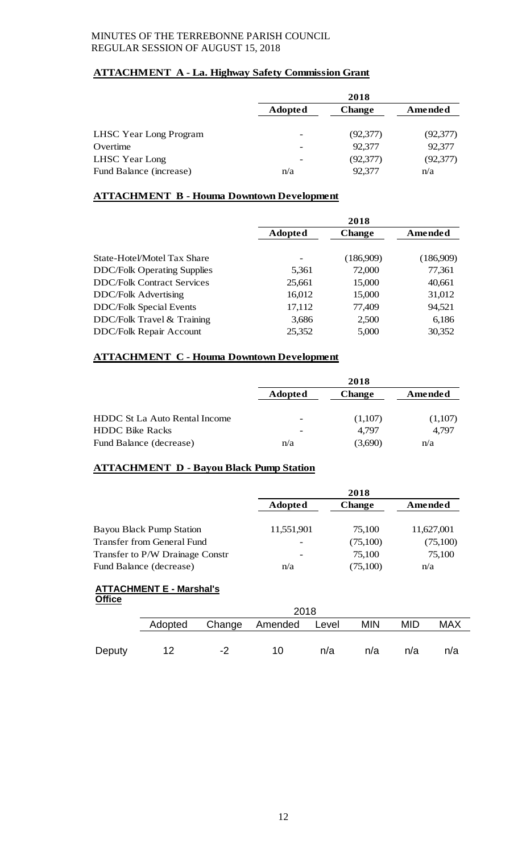# **ATTACHMENT A - La. Highway Safety Commission Grant**

|                         |                | 2018          |           |
|-------------------------|----------------|---------------|-----------|
|                         | <b>Adopted</b> | <b>Change</b> | Amended   |
| LHSC Year Long Program  | -              | (92, 377)     | (92, 377) |
| Overtime                |                | 92,377        | 92,377    |
| LHSC Year Long          | ۰              | (92, 377)     | (92, 377) |
| Fund Balance (increase) | n/a            | 92,377        | n/a       |

# **ATTACHMENT B - Houma Downtown Development**

|                                    | 2018           |               |           |  |  |
|------------------------------------|----------------|---------------|-----------|--|--|
|                                    | <b>Adopted</b> | <b>Change</b> | Amended   |  |  |
| State-Hotel/Motel Tax Share        |                | (186,909)     | (186,909) |  |  |
| <b>DDC/Folk Operating Supplies</b> | 5,361          | 72,000        | 77,361    |  |  |
| <b>DDC/Folk Contract Services</b>  | 25,661         | 15,000        | 40,661    |  |  |
| <b>DDC/Folk Advertising</b>        | 16,012         | 15,000        | 31,012    |  |  |
| <b>DDC/Folk Special Events</b>     | 17,112         | 77,409        | 94,521    |  |  |
| DDC/Folk Travel & Training         | 3,686          | 2,500         | 6,186     |  |  |
| <b>DDC/Folk Repair Account</b>     | 25,352         | 5,000         | 30,352    |  |  |

# **ATTACHMENT C - Houma Downtown Development**

|                               | 2018                     |               |         |  |  |
|-------------------------------|--------------------------|---------------|---------|--|--|
|                               | <b>Adopted</b>           | <b>Change</b> | Amended |  |  |
| HDDC St La Auto Rental Income | $\overline{\phantom{a}}$ | (1,107)       | (1,107) |  |  |
| <b>HDDC Bike Racks</b>        | $\overline{\phantom{a}}$ | 4.797         | 4.797   |  |  |
| Fund Balance (decrease)       | n/a                      | (3,690)       | n/a     |  |  |

# **ATTACHMENT D - Bayou Black Pump Station**

|               |                                   |        |                |          | 2018          |            |            |
|---------------|-----------------------------------|--------|----------------|----------|---------------|------------|------------|
|               |                                   |        | <b>Adopted</b> |          | <b>Change</b> | Amended    |            |
|               | <b>Bayou Black Pump Station</b>   |        | 11,551,901     |          | 75,100        |            | 11,627,001 |
|               | <b>Transfer from General Fund</b> |        |                | (75,100) |               | (75,100)   |            |
|               | Transfer to P/W Drainage Constr   |        |                |          | 75,100        |            | 75,100     |
|               | Fund Balance (decrease)           |        |                |          | (75,100)      | n/a        |            |
|               | <b>ATTACHMENT E - Marshal's</b>   |        |                |          |               |            |            |
| <b>Office</b> |                                   |        |                |          |               |            |            |
|               |                                   |        | 2018           |          |               |            |            |
|               | Adopted                           | Change | Amended        | Level    | <b>MIN</b>    | <b>MID</b> | <b>MAX</b> |
|               |                                   |        |                |          |               |            |            |
| Deputy        | 12                                | -2     | 10             | n/a      | n/a           | n/a        | n/a        |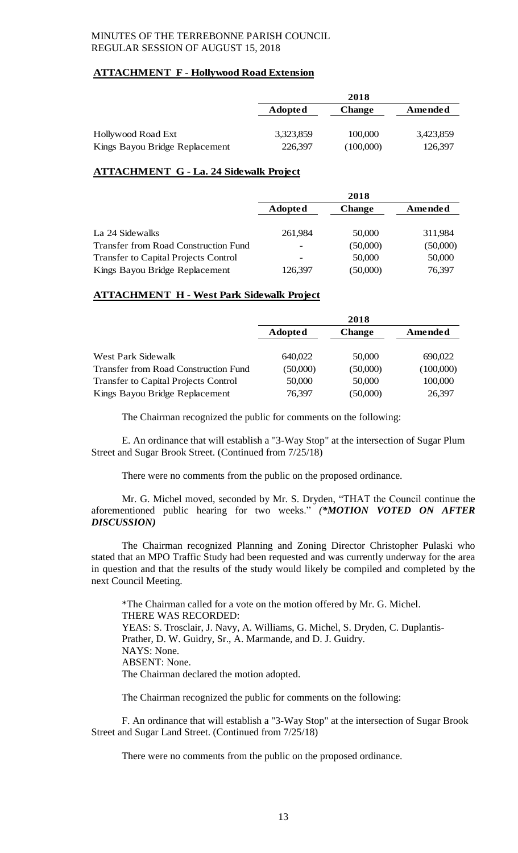# **ATTACHMENT F - Hollywood Road Extension**

|                                |           | 2018          |           |
|--------------------------------|-----------|---------------|-----------|
|                                | Adopted   | <b>Change</b> | Amended   |
|                                |           |               |           |
| Hollywood Road Ext             | 3,323,859 | 100,000       | 3,423,859 |
| Kings Bayou Bridge Replacement | 226,397   | (100,000)     | 126,397   |

# **ATTACHMENT G - La. 24 Sidewalk Project**

|                                             | 2018           |          |          |  |  |
|---------------------------------------------|----------------|----------|----------|--|--|
|                                             | <b>Adopted</b> | Amended  |          |  |  |
|                                             |                |          |          |  |  |
| La 24 Sidewalks                             | 261,984        | 50,000   | 311,984  |  |  |
| <b>Transfer from Road Construction Fund</b> | -              | (50,000) | (50,000) |  |  |
| <b>Transfer to Capital Projects Control</b> |                | 50,000   | 50,000   |  |  |
| Kings Bayou Bridge Replacement              | 126,397        | (50,000) | 76,397   |  |  |

# **ATTACHMENT H - West Park Sidewalk Project**

|                                             | 2018                            |          |           |  |  |
|---------------------------------------------|---------------------------------|----------|-----------|--|--|
|                                             | <b>Adopted</b><br><b>Change</b> |          | Amended   |  |  |
|                                             |                                 |          |           |  |  |
| West Park Sidewalk                          | 640,022                         | 50,000   | 690,022   |  |  |
| <b>Transfer from Road Construction Fund</b> | (50,000)                        | (50,000) | (100,000) |  |  |
| <b>Transfer to Capital Projects Control</b> | 50,000                          | 50,000   | 100,000   |  |  |
| Kings Bayou Bridge Replacement              | 76,397                          | (50,000) | 26,397    |  |  |

The Chairman recognized the public for comments on the following:

E. An ordinance that will establish a "3-Way Stop" at the intersection of Sugar Plum Street and Sugar Brook Street. (Continued from 7/25/18)

There were no comments from the public on the proposed ordinance.

Mr. G. Michel moved, seconded by Mr. S. Dryden, "THAT the Council continue the aforementioned public hearing for two weeks." *(\*MOTION VOTED ON AFTER DISCUSSION)*

The Chairman recognized Planning and Zoning Director Christopher Pulaski who stated that an MPO Traffic Study had been requested and was currently underway for the area in question and that the results of the study would likely be compiled and completed by the next Council Meeting.

\*The Chairman called for a vote on the motion offered by Mr. G. Michel. THERE WAS RECORDED: YEAS: S. Trosclair, J. Navy, A. Williams, G. Michel, S. Dryden, C. Duplantis-Prather, D. W. Guidry, Sr., A. Marmande, and D. J. Guidry. NAYS: None. ABSENT: None. The Chairman declared the motion adopted.

The Chairman recognized the public for comments on the following:

F. An ordinance that will establish a "3-Way Stop" at the intersection of Sugar Brook Street and Sugar Land Street. (Continued from 7/25/18)

There were no comments from the public on the proposed ordinance.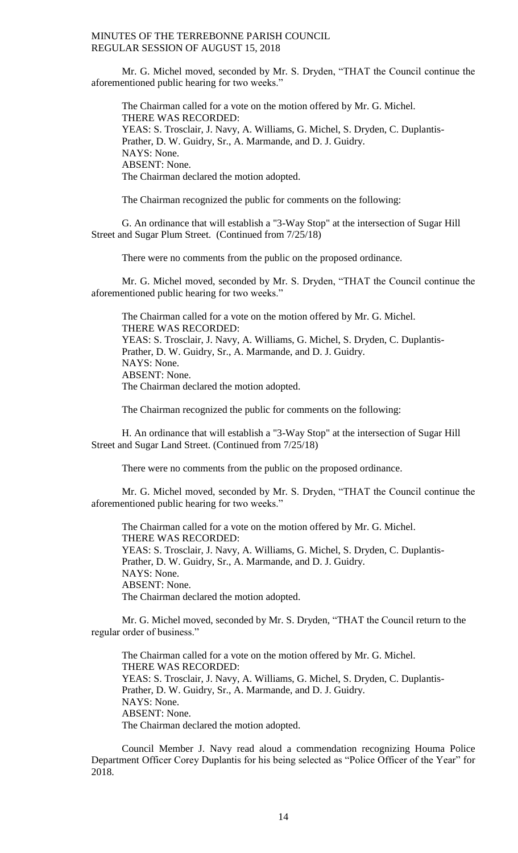Mr. G. Michel moved, seconded by Mr. S. Dryden, "THAT the Council continue the aforementioned public hearing for two weeks."

The Chairman called for a vote on the motion offered by Mr. G. Michel. THERE WAS RECORDED: YEAS: S. Trosclair, J. Navy, A. Williams, G. Michel, S. Dryden, C. Duplantis-Prather, D. W. Guidry, Sr., A. Marmande, and D. J. Guidry. NAYS: None. ABSENT: None. The Chairman declared the motion adopted.

The Chairman recognized the public for comments on the following:

G. An ordinance that will establish a "3-Way Stop" at the intersection of Sugar Hill Street and Sugar Plum Street. (Continued from 7/25/18)

There were no comments from the public on the proposed ordinance.

Mr. G. Michel moved, seconded by Mr. S. Dryden, "THAT the Council continue the aforementioned public hearing for two weeks."

The Chairman called for a vote on the motion offered by Mr. G. Michel. THERE WAS RECORDED: YEAS: S. Trosclair, J. Navy, A. Williams, G. Michel, S. Dryden, C. Duplantis-Prather, D. W. Guidry, Sr., A. Marmande, and D. J. Guidry. NAYS: None. ABSENT: None. The Chairman declared the motion adopted.

The Chairman recognized the public for comments on the following:

H. An ordinance that will establish a "3-Way Stop" at the intersection of Sugar Hill Street and Sugar Land Street. (Continued from 7/25/18)

There were no comments from the public on the proposed ordinance.

Mr. G. Michel moved, seconded by Mr. S. Dryden, "THAT the Council continue the aforementioned public hearing for two weeks."

The Chairman called for a vote on the motion offered by Mr. G. Michel. THERE WAS RECORDED: YEAS: S. Trosclair, J. Navy, A. Williams, G. Michel, S. Dryden, C. Duplantis-Prather, D. W. Guidry, Sr., A. Marmande, and D. J. Guidry. NAYS: None. ABSENT: None. The Chairman declared the motion adopted.

Mr. G. Michel moved, seconded by Mr. S. Dryden, "THAT the Council return to the regular order of business."

The Chairman called for a vote on the motion offered by Mr. G. Michel. THERE WAS RECORDED: YEAS: S. Trosclair, J. Navy, A. Williams, G. Michel, S. Dryden, C. Duplantis-Prather, D. W. Guidry, Sr., A. Marmande, and D. J. Guidry. NAYS: None. ABSENT: None. The Chairman declared the motion adopted.

Council Member J. Navy read aloud a commendation recognizing Houma Police Department Officer Corey Duplantis for his being selected as "Police Officer of the Year" for 2018.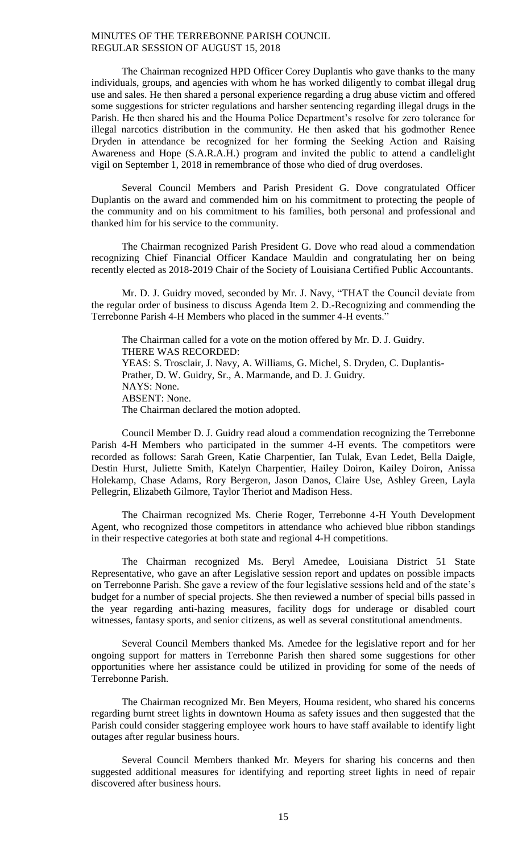The Chairman recognized HPD Officer Corey Duplantis who gave thanks to the many individuals, groups, and agencies with whom he has worked diligently to combat illegal drug use and sales. He then shared a personal experience regarding a drug abuse victim and offered some suggestions for stricter regulations and harsher sentencing regarding illegal drugs in the Parish. He then shared his and the Houma Police Department's resolve for zero tolerance for illegal narcotics distribution in the community. He then asked that his godmother Renee Dryden in attendance be recognized for her forming the Seeking Action and Raising Awareness and Hope (S.A.R.A.H.) program and invited the public to attend a candlelight vigil on September 1, 2018 in remembrance of those who died of drug overdoses.

Several Council Members and Parish President G. Dove congratulated Officer Duplantis on the award and commended him on his commitment to protecting the people of the community and on his commitment to his families, both personal and professional and thanked him for his service to the community.

The Chairman recognized Parish President G. Dove who read aloud a commendation recognizing Chief Financial Officer Kandace Mauldin and congratulating her on being recently elected as 2018-2019 Chair of the Society of Louisiana Certified Public Accountants.

Mr. D. J. Guidry moved, seconded by Mr. J. Navy, "THAT the Council deviate from the regular order of business to discuss Agenda Item 2. D.-Recognizing and commending the Terrebonne Parish 4-H Members who placed in the summer 4-H events."

The Chairman called for a vote on the motion offered by Mr. D. J. Guidry. THERE WAS RECORDED: YEAS: S. Trosclair, J. Navy, A. Williams, G. Michel, S. Dryden, C. Duplantis-Prather, D. W. Guidry, Sr., A. Marmande, and D. J. Guidry. NAYS: None. ABSENT: None. The Chairman declared the motion adopted.

Council Member D. J. Guidry read aloud a commendation recognizing the Terrebonne Parish 4-H Members who participated in the summer 4-H events. The competitors were recorded as follows: Sarah Green, Katie Charpentier, Ian Tulak, Evan Ledet, Bella Daigle, Destin Hurst, Juliette Smith, Katelyn Charpentier, Hailey Doiron, Kailey Doiron, Anissa Holekamp, Chase Adams, Rory Bergeron, Jason Danos, Claire Use, Ashley Green, Layla Pellegrin, Elizabeth Gilmore, Taylor Theriot and Madison Hess.

The Chairman recognized Ms. Cherie Roger, Terrebonne 4-H Youth Development Agent, who recognized those competitors in attendance who achieved blue ribbon standings in their respective categories at both state and regional 4-H competitions.

The Chairman recognized Ms. Beryl Amedee, Louisiana District 51 State Representative, who gave an after Legislative session report and updates on possible impacts on Terrebonne Parish. She gave a review of the four legislative sessions held and of the state's budget for a number of special projects. She then reviewed a number of special bills passed in the year regarding anti-hazing measures, facility dogs for underage or disabled court witnesses, fantasy sports, and senior citizens, as well as several constitutional amendments.

Several Council Members thanked Ms. Amedee for the legislative report and for her ongoing support for matters in Terrebonne Parish then shared some suggestions for other opportunities where her assistance could be utilized in providing for some of the needs of Terrebonne Parish.

The Chairman recognized Mr. Ben Meyers, Houma resident, who shared his concerns regarding burnt street lights in downtown Houma as safety issues and then suggested that the Parish could consider staggering employee work hours to have staff available to identify light outages after regular business hours.

Several Council Members thanked Mr. Meyers for sharing his concerns and then suggested additional measures for identifying and reporting street lights in need of repair discovered after business hours.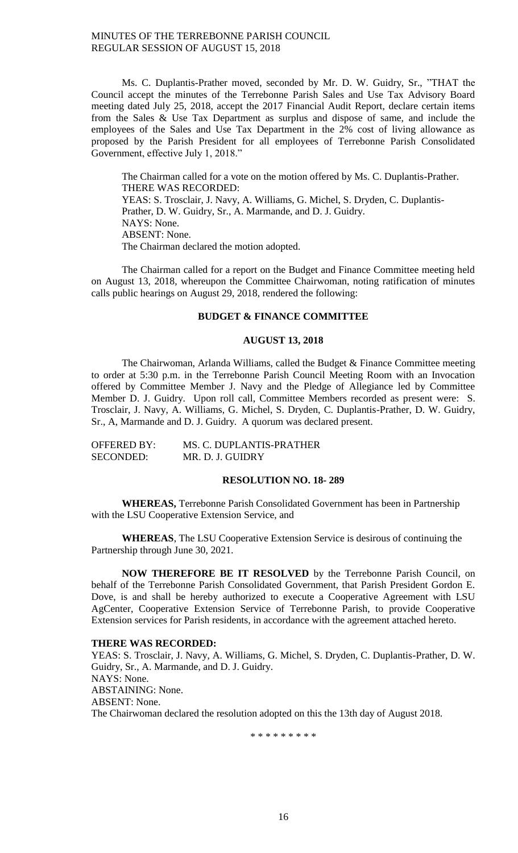Ms. C. Duplantis-Prather moved, seconded by Mr. D. W. Guidry, Sr., "THAT the Council accept the minutes of the Terrebonne Parish Sales and Use Tax Advisory Board meeting dated July 25, 2018, accept the 2017 Financial Audit Report, declare certain items from the Sales & Use Tax Department as surplus and dispose of same, and include the employees of the Sales and Use Tax Department in the 2% cost of living allowance as proposed by the Parish President for all employees of Terrebonne Parish Consolidated Government, effective July 1, 2018."

The Chairman called for a vote on the motion offered by Ms. C. Duplantis-Prather. THERE WAS RECORDED: YEAS: S. Trosclair, J. Navy, A. Williams, G. Michel, S. Dryden, C. Duplantis-Prather, D. W. Guidry, Sr., A. Marmande, and D. J. Guidry. NAYS: None. ABSENT: None. The Chairman declared the motion adopted.

The Chairman called for a report on the Budget and Finance Committee meeting held on August 13, 2018, whereupon the Committee Chairwoman, noting ratification of minutes calls public hearings on August 29, 2018, rendered the following:

### **BUDGET & FINANCE COMMITTEE**

# **AUGUST 13, 2018**

The Chairwoman, Arlanda Williams, called the Budget & Finance Committee meeting to order at 5:30 p.m. in the Terrebonne Parish Council Meeting Room with an Invocation offered by Committee Member J. Navy and the Pledge of Allegiance led by Committee Member D. J. Guidry. Upon roll call, Committee Members recorded as present were: S. Trosclair, J. Navy, A. Williams, G. Michel, S. Dryden, C. Duplantis-Prather, D. W. Guidry, Sr., A, Marmande and D. J. Guidry. A quorum was declared present.

| OFFERED BY:      | MS. C. DUPLANTIS-PRATHER |
|------------------|--------------------------|
| <b>SECONDED:</b> | MR. D. J. GUIDRY         |

## **RESOLUTION NO. 18- 289**

**WHEREAS,** Terrebonne Parish Consolidated Government has been in Partnership with the LSU Cooperative Extension Service, and

**WHEREAS**, The LSU Cooperative Extension Service is desirous of continuing the Partnership through June 30, 2021.

**NOW THEREFORE BE IT RESOLVED** by the Terrebonne Parish Council, on behalf of the Terrebonne Parish Consolidated Government, that Parish President Gordon E. Dove, is and shall be hereby authorized to execute a Cooperative Agreement with LSU AgCenter, Cooperative Extension Service of Terrebonne Parish, to provide Cooperative Extension services for Parish residents, in accordance with the agreement attached hereto.

### **THERE WAS RECORDED:**

YEAS: S. Trosclair, J. Navy, A. Williams, G. Michel, S. Dryden, C. Duplantis-Prather, D. W. Guidry, Sr., A. Marmande, and D. J. Guidry. NAYS: None. ABSTAINING: None. ABSENT: None. The Chairwoman declared the resolution adopted on this the 13th day of August 2018.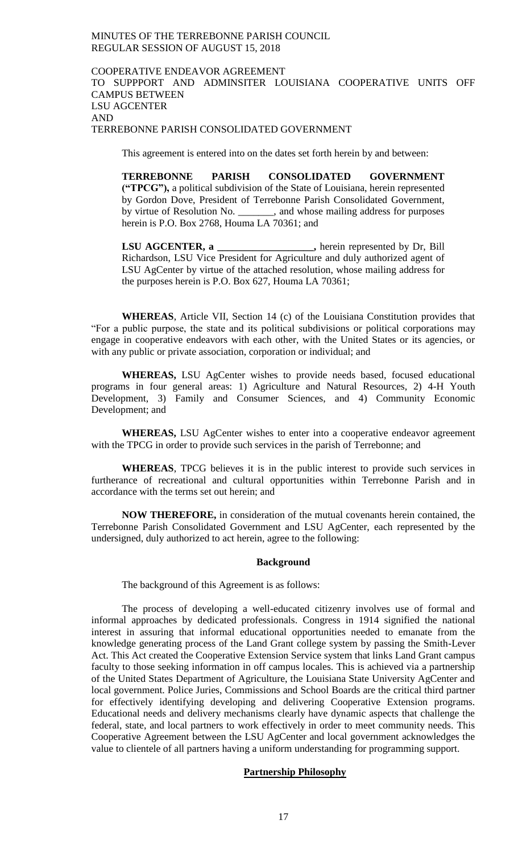## COOPERATIVE ENDEAVOR AGREEMENT TO SUPPPORT AND ADMINSITER LOUISIANA COOPERATIVE UNITS OFF CAMPUS BETWEEN LSU AGCENTER AND TERREBONNE PARISH CONSOLIDATED GOVERNMENT

This agreement is entered into on the dates set forth herein by and between:

**TERREBONNE PARISH CONSOLIDATED GOVERNMENT ("TPCG"),** a political subdivision of the State of Louisiana, herein represented by Gordon Dove, President of Terrebonne Parish Consolidated Government, by virtue of Resolution No. \_\_\_\_\_\_\_, and whose mailing address for purposes herein is P.O. Box 2768, Houma LA 70361; and

**LSU AGCENTER, a \_\_\_\_\_\_\_\_\_\_\_\_\_\_\_\_\_\_\_,** herein represented by Dr, Bill Richardson, LSU Vice President for Agriculture and duly authorized agent of LSU AgCenter by virtue of the attached resolution, whose mailing address for the purposes herein is P.O. Box 627, Houma LA 70361;

**WHEREAS**, Article VII, Section 14 (c) of the Louisiana Constitution provides that "For a public purpose, the state and its political subdivisions or political corporations may engage in cooperative endeavors with each other, with the United States or its agencies, or with any public or private association, corporation or individual; and

**WHEREAS,** LSU AgCenter wishes to provide needs based, focused educational programs in four general areas: 1) Agriculture and Natural Resources, 2) 4-H Youth Development, 3) Family and Consumer Sciences, and 4) Community Economic Development; and

**WHEREAS,** LSU AgCenter wishes to enter into a cooperative endeavor agreement with the TPCG in order to provide such services in the parish of Terrebonne; and

**WHEREAS**, TPCG believes it is in the public interest to provide such services in furtherance of recreational and cultural opportunities within Terrebonne Parish and in accordance with the terms set out herein; and

**NOW THEREFORE,** in consideration of the mutual covenants herein contained, the Terrebonne Parish Consolidated Government and LSU AgCenter, each represented by the undersigned, duly authorized to act herein, agree to the following:

### **Background**

The background of this Agreement is as follows:

The process of developing a well-educated citizenry involves use of formal and informal approaches by dedicated professionals. Congress in 1914 signified the national interest in assuring that informal educational opportunities needed to emanate from the knowledge generating process of the Land Grant college system by passing the Smith-Lever Act. This Act created the Cooperative Extension Service system that links Land Grant campus faculty to those seeking information in off campus locales. This is achieved via a partnership of the United States Department of Agriculture, the Louisiana State University AgCenter and local government. Police Juries, Commissions and School Boards are the critical third partner for effectively identifying developing and delivering Cooperative Extension programs. Educational needs and delivery mechanisms clearly have dynamic aspects that challenge the federal, state, and local partners to work effectively in order to meet community needs. This Cooperative Agreement between the LSU AgCenter and local government acknowledges the value to clientele of all partners having a uniform understanding for programming support.

## **Partnership Philosophy**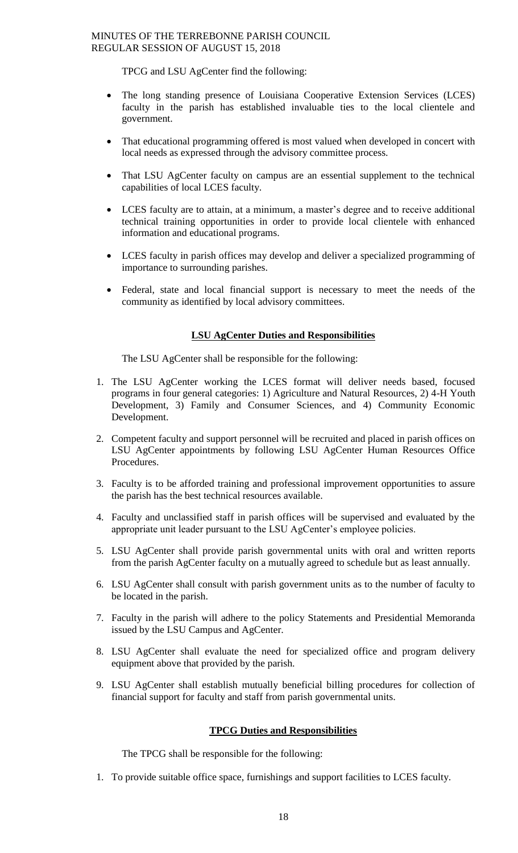TPCG and LSU AgCenter find the following:

- The long standing presence of Louisiana Cooperative Extension Services (LCES) faculty in the parish has established invaluable ties to the local clientele and government.
- That educational programming offered is most valued when developed in concert with local needs as expressed through the advisory committee process.
- That LSU AgCenter faculty on campus are an essential supplement to the technical capabilities of local LCES faculty.
- LCES faculty are to attain, at a minimum, a master's degree and to receive additional technical training opportunities in order to provide local clientele with enhanced information and educational programs.
- LCES faculty in parish offices may develop and deliver a specialized programming of importance to surrounding parishes.
- Federal, state and local financial support is necessary to meet the needs of the community as identified by local advisory committees.

# **LSU AgCenter Duties and Responsibilities**

The LSU AgCenter shall be responsible for the following:

- 1. The LSU AgCenter working the LCES format will deliver needs based, focused programs in four general categories: 1) Agriculture and Natural Resources, 2) 4-H Youth Development, 3) Family and Consumer Sciences, and 4) Community Economic Development.
- 2. Competent faculty and support personnel will be recruited and placed in parish offices on LSU AgCenter appointments by following LSU AgCenter Human Resources Office Procedures.
- 3. Faculty is to be afforded training and professional improvement opportunities to assure the parish has the best technical resources available.
- 4. Faculty and unclassified staff in parish offices will be supervised and evaluated by the appropriate unit leader pursuant to the LSU AgCenter's employee policies.
- 5. LSU AgCenter shall provide parish governmental units with oral and written reports from the parish AgCenter faculty on a mutually agreed to schedule but as least annually.
- 6. LSU AgCenter shall consult with parish government units as to the number of faculty to be located in the parish.
- 7. Faculty in the parish will adhere to the policy Statements and Presidential Memoranda issued by the LSU Campus and AgCenter.
- 8. LSU AgCenter shall evaluate the need for specialized office and program delivery equipment above that provided by the parish.
- 9. LSU AgCenter shall establish mutually beneficial billing procedures for collection of financial support for faculty and staff from parish governmental units.

# **TPCG Duties and Responsibilities**

The TPCG shall be responsible for the following:

1. To provide suitable office space, furnishings and support facilities to LCES faculty.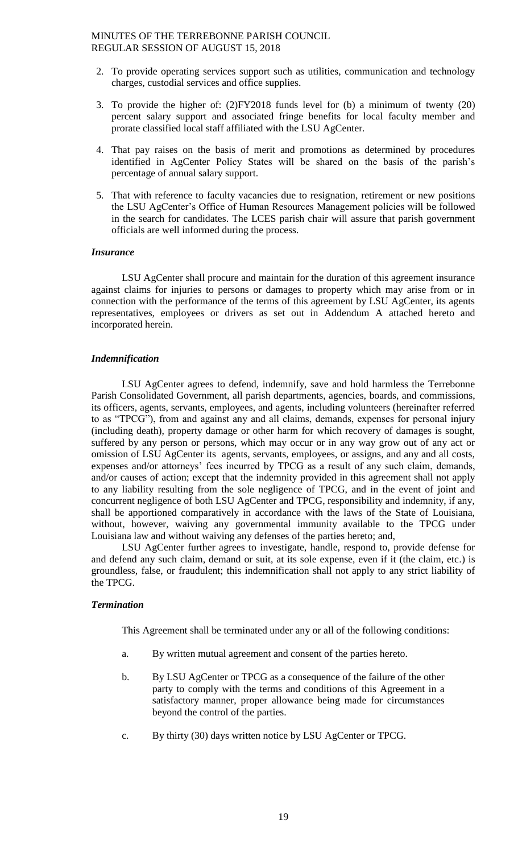- 2. To provide operating services support such as utilities, communication and technology charges, custodial services and office supplies.
- 3. To provide the higher of: (2)FY2018 funds level for (b) a minimum of twenty (20) percent salary support and associated fringe benefits for local faculty member and prorate classified local staff affiliated with the LSU AgCenter.
- 4. That pay raises on the basis of merit and promotions as determined by procedures identified in AgCenter Policy States will be shared on the basis of the parish's percentage of annual salary support.
- 5. That with reference to faculty vacancies due to resignation, retirement or new positions the LSU AgCenter's Office of Human Resources Management policies will be followed in the search for candidates. The LCES parish chair will assure that parish government officials are well informed during the process.

### *Insurance*

LSU AgCenter shall procure and maintain for the duration of this agreement insurance against claims for injuries to persons or damages to property which may arise from or in connection with the performance of the terms of this agreement by LSU AgCenter, its agents representatives, employees or drivers as set out in Addendum A attached hereto and incorporated herein.

## *Indemnification*

LSU AgCenter agrees to defend, indemnify, save and hold harmless the Terrebonne Parish Consolidated Government, all parish departments, agencies, boards, and commissions, its officers, agents, servants, employees, and agents, including volunteers (hereinafter referred to as "TPCG"), from and against any and all claims, demands, expenses for personal injury (including death), property damage or other harm for which recovery of damages is sought, suffered by any person or persons, which may occur or in any way grow out of any act or omission of LSU AgCenter its agents, servants, employees, or assigns, and any and all costs, expenses and/or attorneys' fees incurred by TPCG as a result of any such claim, demands, and/or causes of action; except that the indemnity provided in this agreement shall not apply to any liability resulting from the sole negligence of TPCG, and in the event of joint and concurrent negligence of both LSU AgCenter and TPCG, responsibility and indemnity, if any, shall be apportioned comparatively in accordance with the laws of the State of Louisiana, without, however, waiving any governmental immunity available to the TPCG under Louisiana law and without waiving any defenses of the parties hereto; and,

LSU AgCenter further agrees to investigate, handle, respond to, provide defense for and defend any such claim, demand or suit, at its sole expense, even if it (the claim, etc.) is groundless, false, or fraudulent; this indemnification shall not apply to any strict liability of the TPCG.

### *Termination*

This Agreement shall be terminated under any or all of the following conditions:

- a. By written mutual agreement and consent of the parties hereto.
- b. By LSU AgCenter or TPCG as a consequence of the failure of the other party to comply with the terms and conditions of this Agreement in a satisfactory manner, proper allowance being made for circumstances beyond the control of the parties.
- c. By thirty (30) days written notice by LSU AgCenter or TPCG.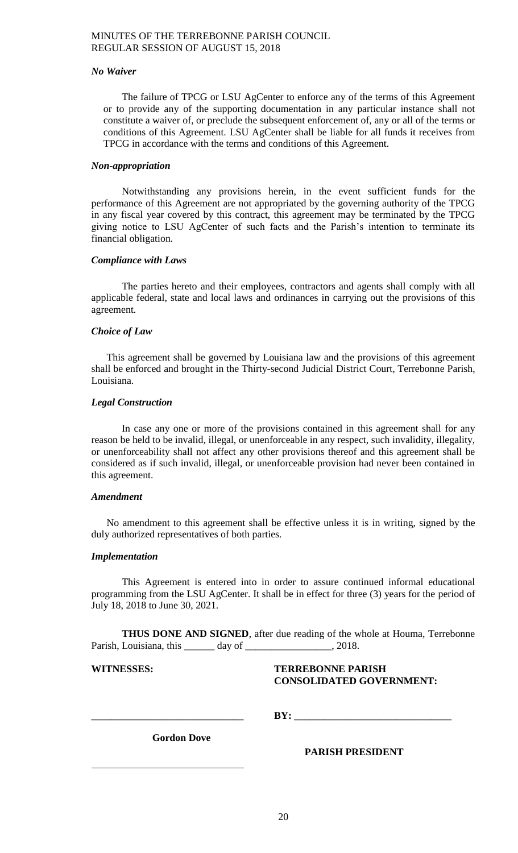## *No Waiver*

The failure of TPCG or LSU AgCenter to enforce any of the terms of this Agreement or to provide any of the supporting documentation in any particular instance shall not constitute a waiver of, or preclude the subsequent enforcement of, any or all of the terms or conditions of this Agreement. LSU AgCenter shall be liable for all funds it receives from TPCG in accordance with the terms and conditions of this Agreement.

## *Non-appropriation*

Notwithstanding any provisions herein, in the event sufficient funds for the performance of this Agreement are not appropriated by the governing authority of the TPCG in any fiscal year covered by this contract, this agreement may be terminated by the TPCG giving notice to LSU AgCenter of such facts and the Parish's intention to terminate its financial obligation.

## *Compliance with Laws*

The parties hereto and their employees, contractors and agents shall comply with all applicable federal, state and local laws and ordinances in carrying out the provisions of this agreement.

## *Choice of Law*

This agreement shall be governed by Louisiana law and the provisions of this agreement shall be enforced and brought in the Thirty-second Judicial District Court, Terrebonne Parish, Louisiana.

## *Legal Construction*

In case any one or more of the provisions contained in this agreement shall for any reason be held to be invalid, illegal, or unenforceable in any respect, such invalidity, illegality, or unenforceability shall not affect any other provisions thereof and this agreement shall be considered as if such invalid, illegal, or unenforceable provision had never been contained in this agreement.

### *Amendment*

No amendment to this agreement shall be effective unless it is in writing, signed by the duly authorized representatives of both parties.

### *Implementation*

This Agreement is entered into in order to assure continued informal educational programming from the LSU AgCenter. It shall be in effect for three (3) years for the period of July 18, 2018 to June 30, 2021.

**THUS DONE AND SIGNED**, after due reading of the whole at Houma, Terrebonne Parish, Louisiana, this \_\_\_\_\_\_\_ day of \_\_\_\_\_\_\_\_\_\_\_\_\_\_\_\_\_\_, 2018.

# **WITNESSES: TERREBONNE PARISH CONSOLIDATED GOVERNMENT:**

 $BY:$ 

**Gordon Dove**

**PARISH PRESIDENT**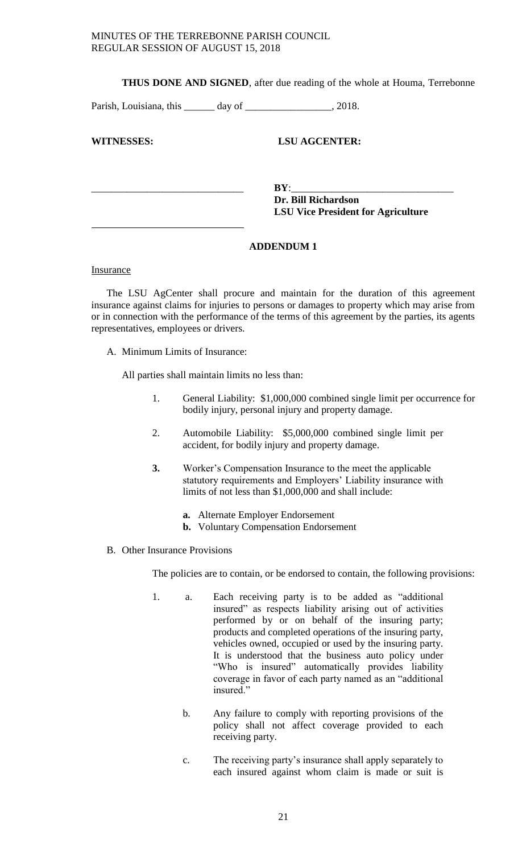**THUS DONE AND SIGNED**, after due reading of the whole at Houma, Terrebonne

Parish, Louisiana, this \_\_\_\_\_\_ day of \_\_\_\_\_\_\_\_\_\_\_\_\_\_\_\_\_, 2018.

**WITNESSES: LSU AGCENTER:**

\_\_\_\_\_\_\_\_\_\_\_\_\_\_\_\_\_\_\_\_\_\_\_\_\_\_\_\_\_\_ **BY**:\_\_\_\_\_\_\_\_\_\_\_\_\_\_\_\_\_\_\_\_\_\_\_\_\_\_\_\_\_\_\_\_ **Dr. Bill Richardson LSU Vice President for Agriculture**

# **ADDENDUM 1**

Insurance

The LSU AgCenter shall procure and maintain for the duration of this agreement insurance against claims for injuries to persons or damages to property which may arise from or in connection with the performance of the terms of this agreement by the parties, its agents representatives, employees or drivers.

A. Minimum Limits of Insurance:

All parties shall maintain limits no less than:

- 1. General Liability: \$1,000,000 combined single limit per occurrence for bodily injury, personal injury and property damage.
- 2. Automobile Liability: \$5,000,000 combined single limit per accident, for bodily injury and property damage.
- **3.** Worker's Compensation Insurance to the meet the applicable statutory requirements and Employers' Liability insurance with limits of not less than \$1,000,000 and shall include:
	- **a.** Alternate Employer Endorsement
	- **b.** Voluntary Compensation Endorsement
- B. Other Insurance Provisions

The policies are to contain, or be endorsed to contain, the following provisions:

- 1. a. Each receiving party is to be added as "additional insured" as respects liability arising out of activities performed by or on behalf of the insuring party; products and completed operations of the insuring party, vehicles owned, occupied or used by the insuring party. It is understood that the business auto policy under "Who is insured" automatically provides liability coverage in favor of each party named as an "additional insured."
	- b. Any failure to comply with reporting provisions of the policy shall not affect coverage provided to each receiving party.
	- c. The receiving party's insurance shall apply separately to each insured against whom claim is made or suit is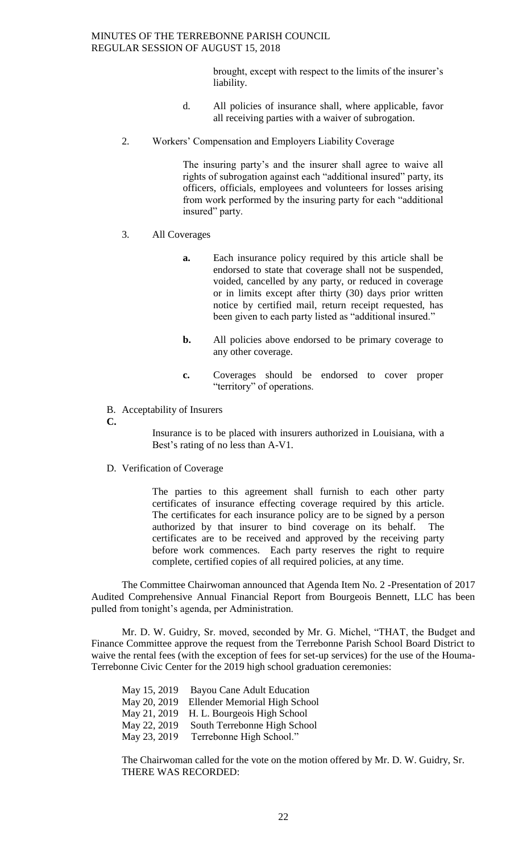brought, except with respect to the limits of the insurer's liability.

- d. All policies of insurance shall, where applicable, favor all receiving parties with a waiver of subrogation.
- 2. Workers' Compensation and Employers Liability Coverage

The insuring party's and the insurer shall agree to waive all rights of subrogation against each "additional insured" party, its officers, officials, employees and volunteers for losses arising from work performed by the insuring party for each "additional insured" party.

# 3. All Coverages

- **a.** Each insurance policy required by this article shall be endorsed to state that coverage shall not be suspended, voided, cancelled by any party, or reduced in coverage or in limits except after thirty (30) days prior written notice by certified mail, return receipt requested, has been given to each party listed as "additional insured."
- **b.** All policies above endorsed to be primary coverage to any other coverage.
- **c.** Coverages should be endorsed to cover proper "territory" of operations.
- B. Acceptability of Insurers

**C.**

Insurance is to be placed with insurers authorized in Louisiana, with a Best's rating of no less than A-V1.

D. Verification of Coverage

The parties to this agreement shall furnish to each other party certificates of insurance effecting coverage required by this article. The certificates for each insurance policy are to be signed by a person authorized by that insurer to bind coverage on its behalf. The certificates are to be received and approved by the receiving party before work commences. Each party reserves the right to require complete, certified copies of all required policies, at any time.

The Committee Chairwoman announced that Agenda Item No. 2 -Presentation of 2017 Audited Comprehensive Annual Financial Report from Bourgeois Bennett, LLC has been pulled from tonight's agenda, per Administration.

Mr. D. W. Guidry, Sr. moved, seconded by Mr. G. Michel, "THAT, the Budget and Finance Committee approve the request from the Terrebonne Parish School Board District to waive the rental fees (with the exception of fees for set-up services) for the use of the Houma-Terrebonne Civic Center for the 2019 high school graduation ceremonies:

May 15, 2019 Bayou Cane Adult Education May 20, 2019 Ellender Memorial High School May 21, 2019 H. L. Bourgeois High School May 22, 2019 South Terrebonne High School May 23, 2019 Terrebonne High School."

The Chairwoman called for the vote on the motion offered by Mr. D. W. Guidry, Sr. THERE WAS RECORDED: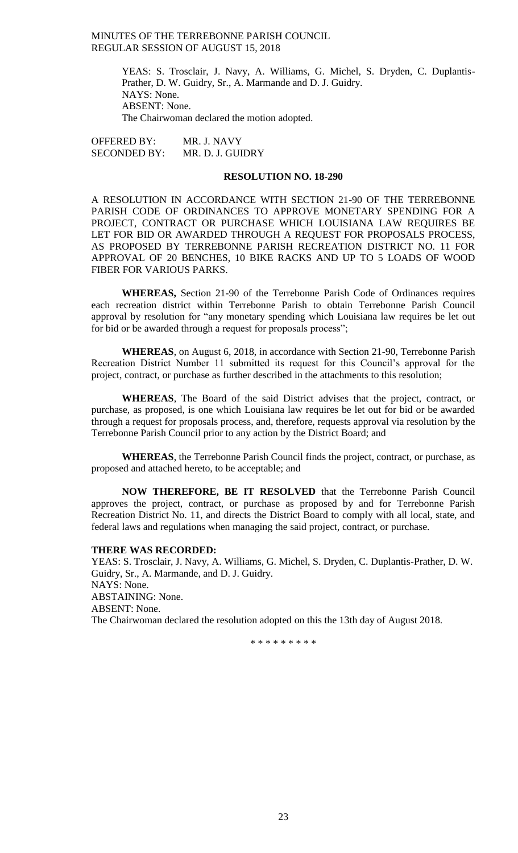> YEAS: S. Trosclair, J. Navy, A. Williams, G. Michel, S. Dryden, C. Duplantis-Prather, D. W. Guidry, Sr., A. Marmande and D. J. Guidry. NAYS: None. ABSENT: None. The Chairwoman declared the motion adopted.

OFFERED BY: MR. J. NAVY SECONDED BY: MR. D. J. GUIDRY

### **RESOLUTION NO. 18-290**

A RESOLUTION IN ACCORDANCE WITH SECTION 21-90 OF THE TERREBONNE PARISH CODE OF ORDINANCES TO APPROVE MONETARY SPENDING FOR A PROJECT, CONTRACT OR PURCHASE WHICH LOUISIANA LAW REQUIRES BE LET FOR BID OR AWARDED THROUGH A REQUEST FOR PROPOSALS PROCESS, AS PROPOSED BY TERREBONNE PARISH RECREATION DISTRICT NO. 11 FOR APPROVAL OF 20 BENCHES, 10 BIKE RACKS AND UP TO 5 LOADS OF WOOD FIBER FOR VARIOUS PARKS.

**WHEREAS,** Section 21-90 of the Terrebonne Parish Code of Ordinances requires each recreation district within Terrebonne Parish to obtain Terrebonne Parish Council approval by resolution for "any monetary spending which Louisiana law requires be let out for bid or be awarded through a request for proposals process";

**WHEREAS**, on August 6, 2018, in accordance with Section 21-90, Terrebonne Parish Recreation District Number 11 submitted its request for this Council's approval for the project, contract, or purchase as further described in the attachments to this resolution;

**WHEREAS**, The Board of the said District advises that the project, contract, or purchase, as proposed, is one which Louisiana law requires be let out for bid or be awarded through a request for proposals process, and, therefore, requests approval via resolution by the Terrebonne Parish Council prior to any action by the District Board; and

**WHEREAS**, the Terrebonne Parish Council finds the project, contract, or purchase, as proposed and attached hereto, to be acceptable; and

**NOW THEREFORE, BE IT RESOLVED** that the Terrebonne Parish Council approves the project, contract, or purchase as proposed by and for Terrebonne Parish Recreation District No. 11, and directs the District Board to comply with all local, state, and federal laws and regulations when managing the said project, contract, or purchase.

# **THERE WAS RECORDED:**

YEAS: S. Trosclair, J. Navy, A. Williams, G. Michel, S. Dryden, C. Duplantis-Prather, D. W. Guidry, Sr., A. Marmande, and D. J. Guidry. NAYS: None. ABSTAINING: None. ABSENT: None. The Chairwoman declared the resolution adopted on this the 13th day of August 2018.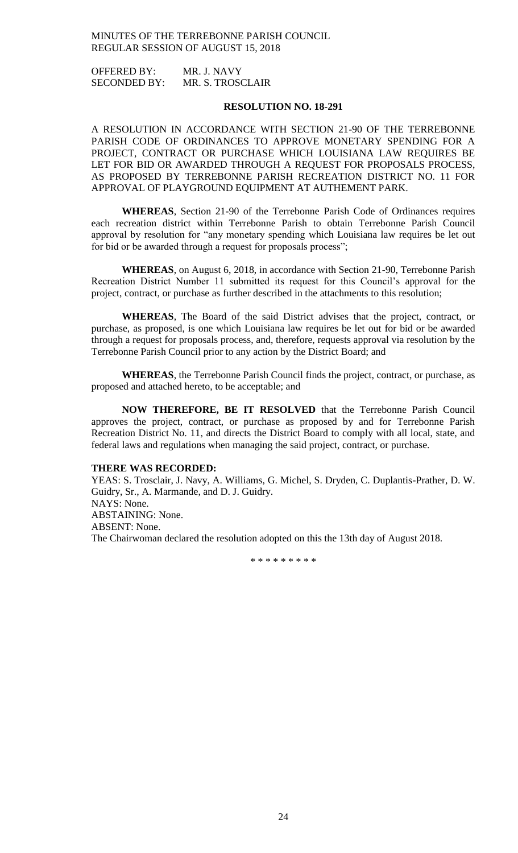OFFERED BY: MR. J. NAVY SECONDED BY: MR. S. TROSCLAIR

### **RESOLUTION NO. 18-291**

A RESOLUTION IN ACCORDANCE WITH SECTION 21-90 OF THE TERREBONNE PARISH CODE OF ORDINANCES TO APPROVE MONETARY SPENDING FOR A PROJECT, CONTRACT OR PURCHASE WHICH LOUISIANA LAW REQUIRES BE LET FOR BID OR AWARDED THROUGH A REQUEST FOR PROPOSALS PROCESS, AS PROPOSED BY TERREBONNE PARISH RECREATION DISTRICT NO. 11 FOR APPROVAL OF PLAYGROUND EQUIPMENT AT AUTHEMENT PARK.

**WHEREAS**, Section 21-90 of the Terrebonne Parish Code of Ordinances requires each recreation district within Terrebonne Parish to obtain Terrebonne Parish Council approval by resolution for "any monetary spending which Louisiana law requires be let out for bid or be awarded through a request for proposals process";

**WHEREAS**, on August 6, 2018, in accordance with Section 21-90, Terrebonne Parish Recreation District Number 11 submitted its request for this Council's approval for the project, contract, or purchase as further described in the attachments to this resolution;

**WHEREAS**, The Board of the said District advises that the project, contract, or purchase, as proposed, is one which Louisiana law requires be let out for bid or be awarded through a request for proposals process, and, therefore, requests approval via resolution by the Terrebonne Parish Council prior to any action by the District Board; and

**WHEREAS**, the Terrebonne Parish Council finds the project, contract, or purchase, as proposed and attached hereto, to be acceptable; and

**NOW THEREFORE, BE IT RESOLVED** that the Terrebonne Parish Council approves the project, contract, or purchase as proposed by and for Terrebonne Parish Recreation District No. 11, and directs the District Board to comply with all local, state, and federal laws and regulations when managing the said project, contract, or purchase.

### **THERE WAS RECORDED:**

YEAS: S. Trosclair, J. Navy, A. Williams, G. Michel, S. Dryden, C. Duplantis-Prather, D. W. Guidry, Sr., A. Marmande, and D. J. Guidry. NAYS: None. ABSTAINING: None. ABSENT: None. The Chairwoman declared the resolution adopted on this the 13th day of August 2018.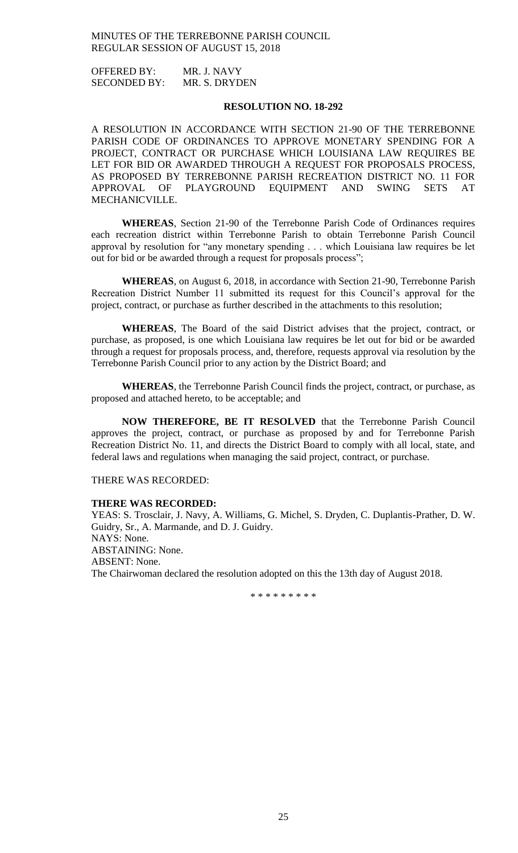OFFERED BY: MR. J. NAVY SECONDED BY: MR. S. DRYDEN

### **RESOLUTION NO. 18-292**

A RESOLUTION IN ACCORDANCE WITH SECTION 21-90 OF THE TERREBONNE PARISH CODE OF ORDINANCES TO APPROVE MONETARY SPENDING FOR A PROJECT, CONTRACT OR PURCHASE WHICH LOUISIANA LAW REQUIRES BE LET FOR BID OR AWARDED THROUGH A REQUEST FOR PROPOSALS PROCESS, AS PROPOSED BY TERREBONNE PARISH RECREATION DISTRICT NO. 11 FOR APPROVAL OF PLAYGROUND EQUIPMENT AND SWING SETS AT MECHANICVILLE.

**WHEREAS**, Section 21-90 of the Terrebonne Parish Code of Ordinances requires each recreation district within Terrebonne Parish to obtain Terrebonne Parish Council approval by resolution for "any monetary spending . . . which Louisiana law requires be let out for bid or be awarded through a request for proposals process";

**WHEREAS**, on August 6, 2018, in accordance with Section 21-90, Terrebonne Parish Recreation District Number 11 submitted its request for this Council's approval for the project, contract, or purchase as further described in the attachments to this resolution;

**WHEREAS**, The Board of the said District advises that the project, contract, or purchase, as proposed, is one which Louisiana law requires be let out for bid or be awarded through a request for proposals process, and, therefore, requests approval via resolution by the Terrebonne Parish Council prior to any action by the District Board; and

**WHEREAS**, the Terrebonne Parish Council finds the project, contract, or purchase, as proposed and attached hereto, to be acceptable; and

**NOW THEREFORE, BE IT RESOLVED** that the Terrebonne Parish Council approves the project, contract, or purchase as proposed by and for Terrebonne Parish Recreation District No. 11, and directs the District Board to comply with all local, state, and federal laws and regulations when managing the said project, contract, or purchase.

THERE WAS RECORDED:

### **THERE WAS RECORDED:**

YEAS: S. Trosclair, J. Navy, A. Williams, G. Michel, S. Dryden, C. Duplantis-Prather, D. W. Guidry, Sr., A. Marmande, and D. J. Guidry. NAYS: None. ABSTAINING: None. ABSENT: None. The Chairwoman declared the resolution adopted on this the 13th day of August 2018.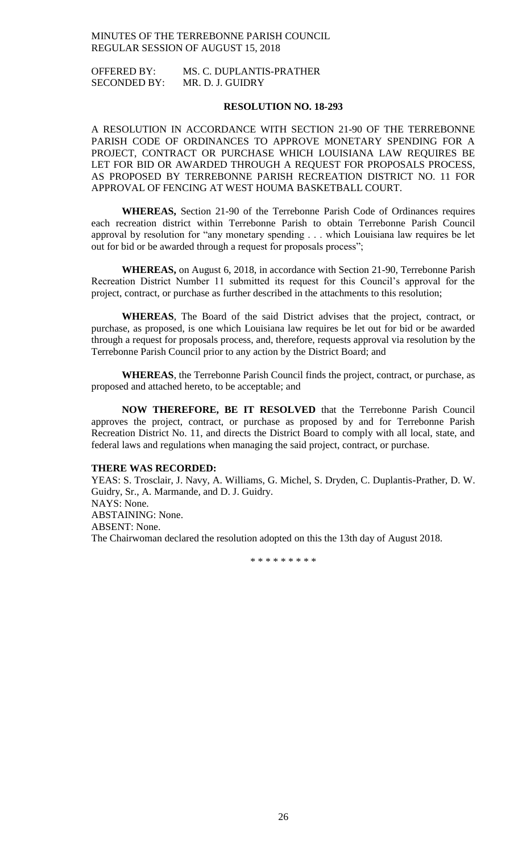OFFERED BY: MS. C. DUPLANTIS-PRATHER SECONDED BY: MR. D. J. GUIDRY

### **RESOLUTION NO. 18-293**

A RESOLUTION IN ACCORDANCE WITH SECTION 21-90 OF THE TERREBONNE PARISH CODE OF ORDINANCES TO APPROVE MONETARY SPENDING FOR A PROJECT, CONTRACT OR PURCHASE WHICH LOUISIANA LAW REQUIRES BE LET FOR BID OR AWARDED THROUGH A REQUEST FOR PROPOSALS PROCESS, AS PROPOSED BY TERREBONNE PARISH RECREATION DISTRICT NO. 11 FOR APPROVAL OF FENCING AT WEST HOUMA BASKETBALL COURT.

**WHEREAS,** Section 21-90 of the Terrebonne Parish Code of Ordinances requires each recreation district within Terrebonne Parish to obtain Terrebonne Parish Council approval by resolution for "any monetary spending . . . which Louisiana law requires be let out for bid or be awarded through a request for proposals process";

**WHEREAS,** on August 6, 2018, in accordance with Section 21-90, Terrebonne Parish Recreation District Number 11 submitted its request for this Council's approval for the project, contract, or purchase as further described in the attachments to this resolution;

**WHEREAS**, The Board of the said District advises that the project, contract, or purchase, as proposed, is one which Louisiana law requires be let out for bid or be awarded through a request for proposals process, and, therefore, requests approval via resolution by the Terrebonne Parish Council prior to any action by the District Board; and

**WHEREAS**, the Terrebonne Parish Council finds the project, contract, or purchase, as proposed and attached hereto, to be acceptable; and

**NOW THEREFORE, BE IT RESOLVED** that the Terrebonne Parish Council approves the project, contract, or purchase as proposed by and for Terrebonne Parish Recreation District No. 11, and directs the District Board to comply with all local, state, and federal laws and regulations when managing the said project, contract, or purchase.

### **THERE WAS RECORDED:**

YEAS: S. Trosclair, J. Navy, A. Williams, G. Michel, S. Dryden, C. Duplantis-Prather, D. W. Guidry, Sr., A. Marmande, and D. J. Guidry. NAYS: None. ABSTAINING: None. ABSENT: None. The Chairwoman declared the resolution adopted on this the 13th day of August 2018.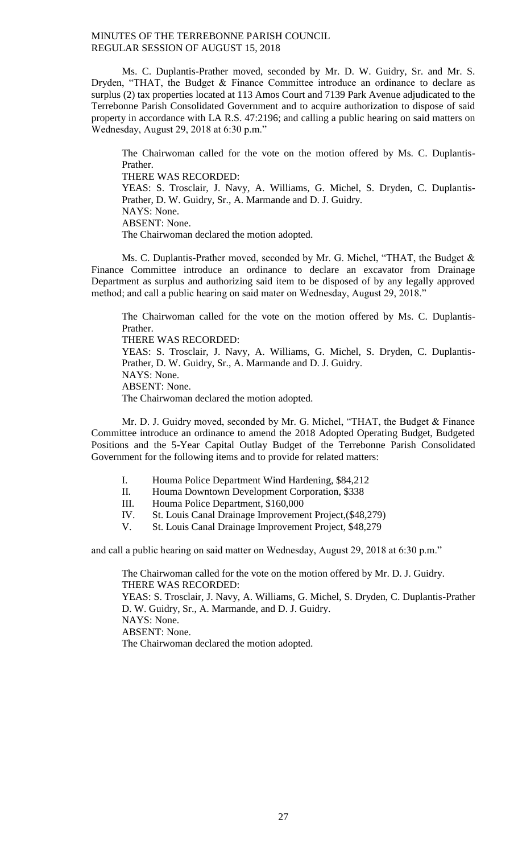Ms. C. Duplantis-Prather moved, seconded by Mr. D. W. Guidry, Sr. and Mr. S. Dryden, "THAT, the Budget & Finance Committee introduce an ordinance to declare as surplus (2) tax properties located at 113 Amos Court and 7139 Park Avenue adjudicated to the Terrebonne Parish Consolidated Government and to acquire authorization to dispose of said property in accordance with LA R.S. 47:2196; and calling a public hearing on said matters on Wednesday, August 29, 2018 at 6:30 p.m."

The Chairwoman called for the vote on the motion offered by Ms. C. Duplantis-Prather. THERE WAS RECORDED: YEAS: S. Trosclair, J. Navy, A. Williams, G. Michel, S. Dryden, C. Duplantis-Prather, D. W. Guidry, Sr., A. Marmande and D. J. Guidry. NAYS: None. ABSENT: None. The Chairwoman declared the motion adopted.

Ms. C. Duplantis-Prather moved, seconded by Mr. G. Michel, "THAT, the Budget & Finance Committee introduce an ordinance to declare an excavator from Drainage Department as surplus and authorizing said item to be disposed of by any legally approved method; and call a public hearing on said mater on Wednesday, August 29, 2018."

The Chairwoman called for the vote on the motion offered by Ms. C. Duplantis-Prather.

THERE WAS RECORDED:

YEAS: S. Trosclair, J. Navy, A. Williams, G. Michel, S. Dryden, C. Duplantis-Prather, D. W. Guidry, Sr., A. Marmande and D. J. Guidry. NAYS: None. ABSENT: None. The Chairwoman declared the motion adopted.

Mr. D. J. Guidry moved, seconded by Mr. G. Michel, "THAT, the Budget & Finance Committee introduce an ordinance to amend the 2018 Adopted Operating Budget, Budgeted Positions and the 5-Year Capital Outlay Budget of the Terrebonne Parish Consolidated Government for the following items and to provide for related matters:

- I. Houma Police Department Wind Hardening, \$84,212
- II. Houma Downtown Development Corporation, \$338
- III. Houma Police Department, \$160,000
- IV. St. Louis Canal Drainage Improvement Project,(\$48,279)
- V. St. Louis Canal Drainage Improvement Project, \$48,279

and call a public hearing on said matter on Wednesday, August 29, 2018 at 6:30 p.m."

The Chairwoman called for the vote on the motion offered by Mr. D. J. Guidry. THERE WAS RECORDED: YEAS: S. Trosclair, J. Navy, A. Williams, G. Michel, S. Dryden, C. Duplantis-Prather D. W. Guidry, Sr., A. Marmande, and D. J. Guidry. NAYS: None. ABSENT: None. The Chairwoman declared the motion adopted.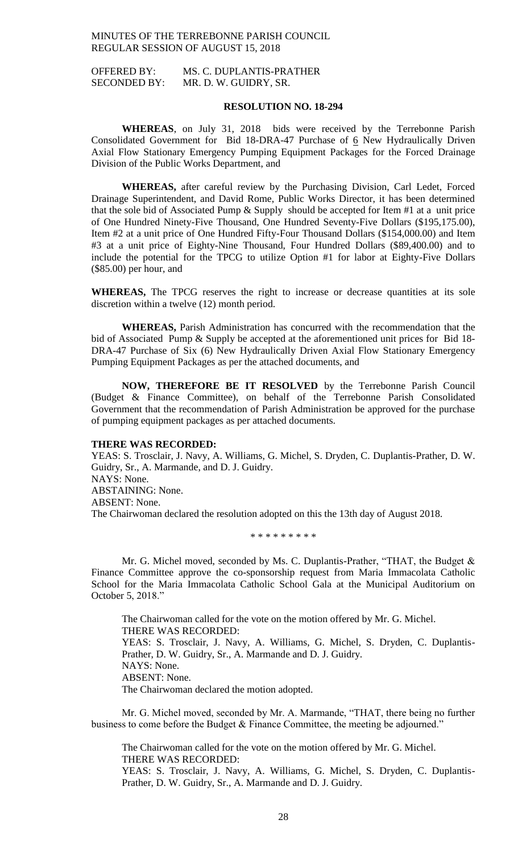# OFFERED BY: MS. C. DUPLANTIS-PRATHER SECONDED BY: MR. D. W. GUIDRY, SR.

### **RESOLUTION NO. 18-294**

**WHEREAS**, on July 31, 2018 bids were received by the Terrebonne Parish Consolidated Government for Bid 18-DRA-47 Purchase of 6 New Hydraulically Driven Axial Flow Stationary Emergency Pumping Equipment Packages for the Forced Drainage Division of the Public Works Department, and

**WHEREAS,** after careful review by the Purchasing Division, Carl Ledet, Forced Drainage Superintendent, and David Rome, Public Works Director, it has been determined that the sole bid of Associated Pump & Supply should be accepted for Item #1 at a unit price of One Hundred Ninety-Five Thousand, One Hundred Seventy-Five Dollars (\$195,175.00), Item #2 at a unit price of One Hundred Fifty-Four Thousand Dollars (\$154,000.00) and Item #3 at a unit price of Eighty-Nine Thousand, Four Hundred Dollars (\$89,400.00) and to include the potential for the TPCG to utilize Option #1 for labor at Eighty-Five Dollars (\$85.00) per hour, and

**WHEREAS,** The TPCG reserves the right to increase or decrease quantities at its sole discretion within a twelve (12) month period.

**WHEREAS,** Parish Administration has concurred with the recommendation that the bid of Associated Pump & Supply be accepted at the aforementioned unit prices for Bid 18-DRA-47 Purchase of Six (6) New Hydraulically Driven Axial Flow Stationary Emergency Pumping Equipment Packages as per the attached documents, and

**NOW, THEREFORE BE IT RESOLVED** by the Terrebonne Parish Council (Budget & Finance Committee), on behalf of the Terrebonne Parish Consolidated Government that the recommendation of Parish Administration be approved for the purchase of pumping equipment packages as per attached documents.

### **THERE WAS RECORDED:**

YEAS: S. Trosclair, J. Navy, A. Williams, G. Michel, S. Dryden, C. Duplantis-Prather, D. W. Guidry, Sr., A. Marmande, and D. J. Guidry. NAYS: None. ABSTAINING: None. ABSENT: None. The Chairwoman declared the resolution adopted on this the 13th day of August 2018.

\* \* \* \* \* \* \* \* \*

Mr. G. Michel moved, seconded by Ms. C. Duplantis-Prather, "THAT, the Budget & Finance Committee approve the co-sponsorship request from Maria Immacolata Catholic School for the Maria Immacolata Catholic School Gala at the Municipal Auditorium on October 5, 2018."

The Chairwoman called for the vote on the motion offered by Mr. G. Michel. THERE WAS RECORDED: YEAS: S. Trosclair, J. Navy, A. Williams, G. Michel, S. Dryden, C. Duplantis-Prather, D. W. Guidry, Sr., A. Marmande and D. J. Guidry. NAYS: None. ABSENT: None. The Chairwoman declared the motion adopted.

Mr. G. Michel moved, seconded by Mr. A. Marmande, "THAT, there being no further business to come before the Budget & Finance Committee, the meeting be adjourned."

The Chairwoman called for the vote on the motion offered by Mr. G. Michel. THERE WAS RECORDED: YEAS: S. Trosclair, J. Navy, A. Williams, G. Michel, S. Dryden, C. Duplantis-Prather, D. W. Guidry, Sr., A. Marmande and D. J. Guidry.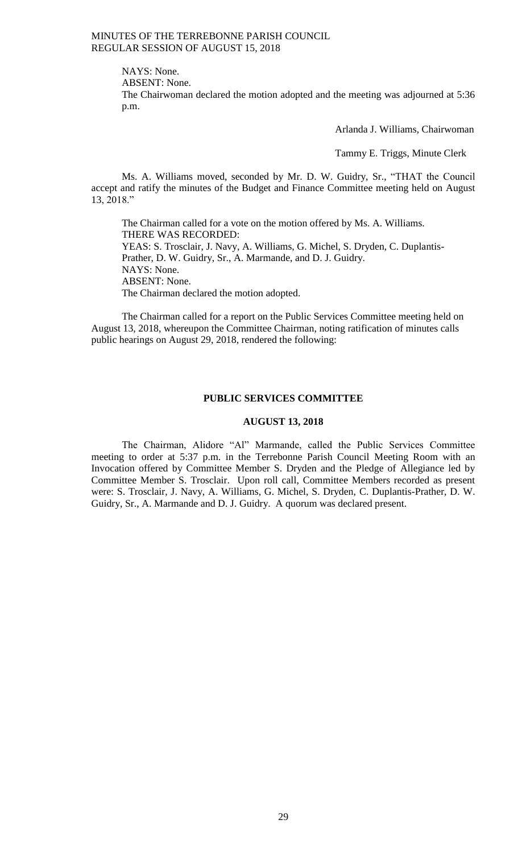NAYS: None.

ABSENT: None.

The Chairwoman declared the motion adopted and the meeting was adjourned at 5:36 p.m.

Arlanda J. Williams, Chairwoman

Tammy E. Triggs, Minute Clerk

Ms. A. Williams moved, seconded by Mr. D. W. Guidry, Sr., "THAT the Council accept and ratify the minutes of the Budget and Finance Committee meeting held on August 13, 2018."

The Chairman called for a vote on the motion offered by Ms. A. Williams. THERE WAS RECORDED: YEAS: S. Trosclair, J. Navy, A. Williams, G. Michel, S. Dryden, C. Duplantis-Prather, D. W. Guidry, Sr., A. Marmande, and D. J. Guidry. NAYS: None. ABSENT: None. The Chairman declared the motion adopted.

The Chairman called for a report on the Public Services Committee meeting held on August 13, 2018, whereupon the Committee Chairman, noting ratification of minutes calls public hearings on August 29, 2018, rendered the following:

# **PUBLIC SERVICES COMMITTEE**

### **AUGUST 13, 2018**

The Chairman, Alidore "Al" Marmande, called the Public Services Committee meeting to order at 5:37 p.m. in the Terrebonne Parish Council Meeting Room with an Invocation offered by Committee Member S. Dryden and the Pledge of Allegiance led by Committee Member S. Trosclair. Upon roll call, Committee Members recorded as present were: S. Trosclair, J. Navy, A. Williams, G. Michel, S. Dryden, C. Duplantis-Prather, D. W. Guidry, Sr., A. Marmande and D. J. Guidry. A quorum was declared present.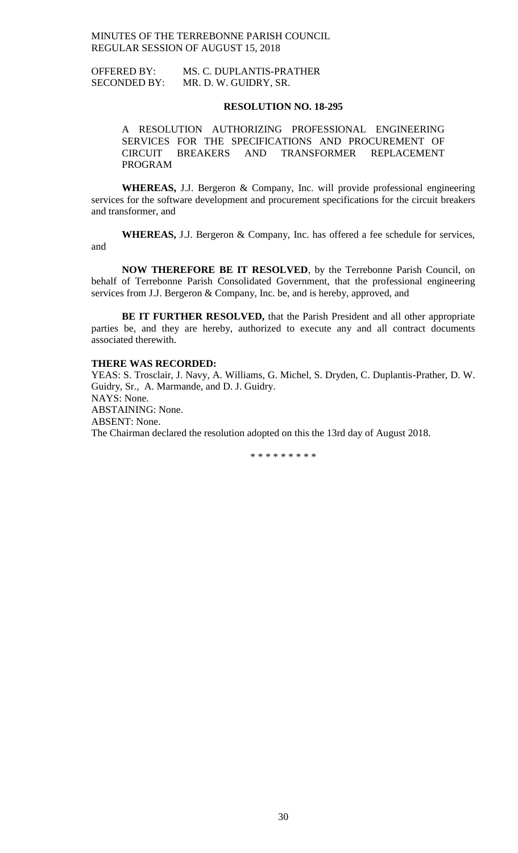OFFERED BY: MS. C. DUPLANTIS-PRATHER SECONDED BY: MR. D. W. GUIDRY, SR.

### **RESOLUTION NO. 18-295**

A RESOLUTION AUTHORIZING PROFESSIONAL ENGINEERING SERVICES FOR THE SPECIFICATIONS AND PROCUREMENT OF CIRCUIT BREAKERS AND TRANSFORMER REPLACEMENT CIRCUIT BREAKERS AND TRANSFORMER REPLACEMENT PROGRAM

**WHEREAS,** J.J. Bergeron & Company, Inc. will provide professional engineering services for the software development and procurement specifications for the circuit breakers and transformer, and

**WHEREAS,** J.J. Bergeron & Company, Inc. has offered a fee schedule for services, and

**NOW THEREFORE BE IT RESOLVED**, by the Terrebonne Parish Council, on behalf of Terrebonne Parish Consolidated Government, that the professional engineering services from J.J. Bergeron & Company, Inc. be, and is hereby, approved, and

**BE IT FURTHER RESOLVED,** that the Parish President and all other appropriate parties be, and they are hereby, authorized to execute any and all contract documents associated therewith.

### **THERE WAS RECORDED:**

YEAS: S. Trosclair, J. Navy, A. Williams, G. Michel, S. Dryden, C. Duplantis-Prather, D. W. Guidry, Sr., A. Marmande, and D. J. Guidry. NAYS: None. ABSTAINING: None. ABSENT: None. The Chairman declared the resolution adopted on this the 13rd day of August 2018.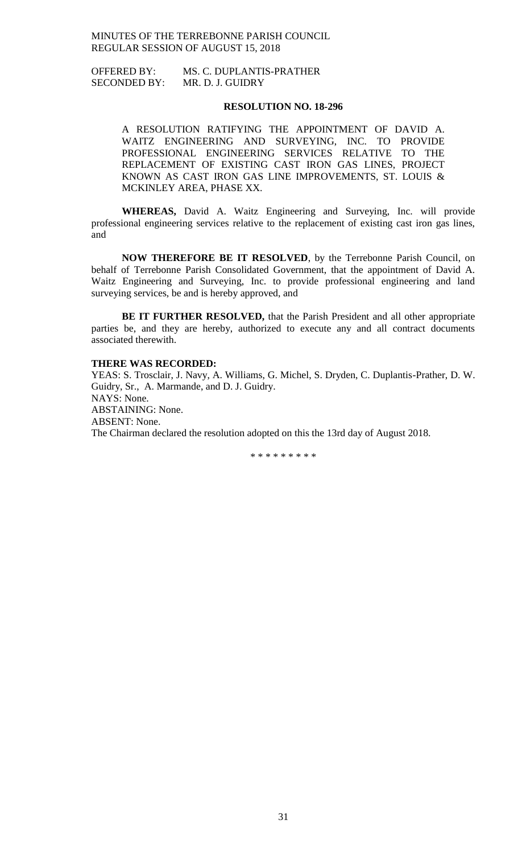OFFERED BY: MS. C. DUPLANTIS-PRATHER SECONDED BY: MR. D. J. GUIDRY

## **RESOLUTION NO. 18-296**

A RESOLUTION RATIFYING THE APPOINTMENT OF DAVID A. WAITZ ENGINEERING AND SURVEYING, INC. TO PROVIDE PROFESSIONAL ENGINEERING SERVICES RELATIVE TO THE REPLACEMENT OF EXISTING CAST IRON GAS LINES, PROJECT KNOWN AS CAST IRON GAS LINE IMPROVEMENTS, ST. LOUIS & MCKINLEY AREA, PHASE XX.

**WHEREAS,** David A. Waitz Engineering and Surveying, Inc. will provide professional engineering services relative to the replacement of existing cast iron gas lines, and

**NOW THEREFORE BE IT RESOLVED**, by the Terrebonne Parish Council, on behalf of Terrebonne Parish Consolidated Government, that the appointment of David A. Waitz Engineering and Surveying, Inc. to provide professional engineering and land surveying services, be and is hereby approved, and

**BE IT FURTHER RESOLVED,** that the Parish President and all other appropriate parties be, and they are hereby, authorized to execute any and all contract documents associated therewith.

### **THERE WAS RECORDED:**

YEAS: S. Trosclair, J. Navy, A. Williams, G. Michel, S. Dryden, C. Duplantis-Prather, D. W. Guidry, Sr., A. Marmande, and D. J. Guidry. NAYS: None. ABSTAINING: None. ABSENT: None. The Chairman declared the resolution adopted on this the 13rd day of August 2018.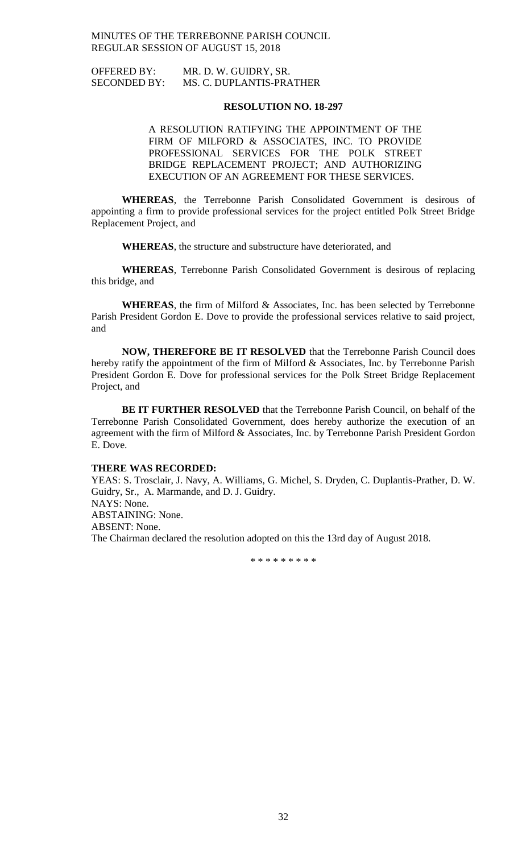| <b>OFFERED BY:</b>  | MR. D. W. GUIDRY, SR.    |
|---------------------|--------------------------|
| <b>SECONDED BY:</b> | MS. C. DUPLANTIS-PRATHER |

### **RESOLUTION NO. 18-297**

A RESOLUTION RATIFYING THE APPOINTMENT OF THE FIRM OF MILFORD & ASSOCIATES, INC. TO PROVIDE PROFESSIONAL SERVICES FOR THE POLK STREET BRIDGE REPLACEMENT PROJECT; AND AUTHORIZING EXECUTION OF AN AGREEMENT FOR THESE SERVICES.

**WHEREAS**, the Terrebonne Parish Consolidated Government is desirous of appointing a firm to provide professional services for the project entitled Polk Street Bridge Replacement Project, and

**WHEREAS**, the structure and substructure have deteriorated, and

**WHEREAS**, Terrebonne Parish Consolidated Government is desirous of replacing this bridge, and

**WHEREAS**, the firm of Milford & Associates, Inc. has been selected by Terrebonne Parish President Gordon E. Dove to provide the professional services relative to said project, and

**NOW, THEREFORE BE IT RESOLVED** that the Terrebonne Parish Council does hereby ratify the appointment of the firm of Milford & Associates, Inc. by Terrebonne Parish President Gordon E. Dove for professional services for the Polk Street Bridge Replacement Project, and

**BE IT FURTHER RESOLVED** that the Terrebonne Parish Council, on behalf of the Terrebonne Parish Consolidated Government, does hereby authorize the execution of an agreement with the firm of Milford & Associates, Inc. by Terrebonne Parish President Gordon E. Dove.

### **THERE WAS RECORDED:**

YEAS: S. Trosclair, J. Navy, A. Williams, G. Michel, S. Dryden, C. Duplantis-Prather, D. W. Guidry, Sr., A. Marmande, and D. J. Guidry. NAYS: None. ABSTAINING: None.

ABSENT: None.

The Chairman declared the resolution adopted on this the 13rd day of August 2018.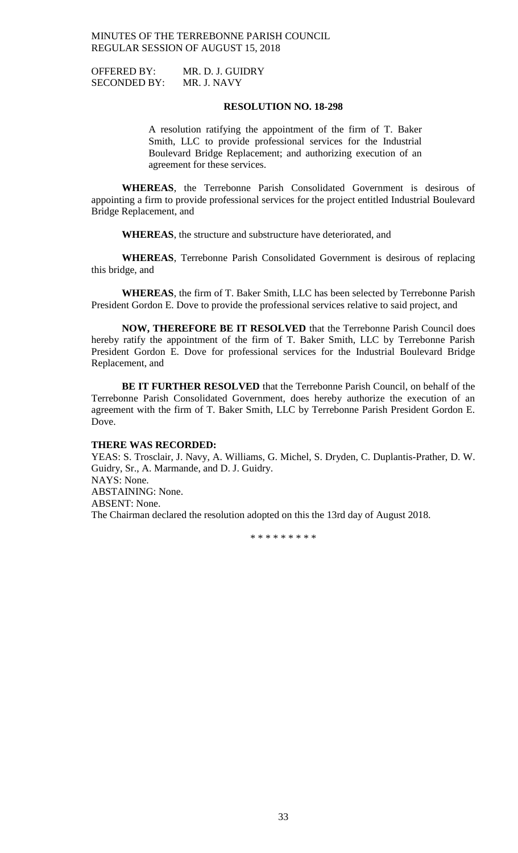OFFERED BY: MR. D. J. GUIDRY SECONDED BY: MR. J. NAVY

### **RESOLUTION NO. 18-298**

A resolution ratifying the appointment of the firm of T. Baker Smith, LLC to provide professional services for the Industrial Boulevard Bridge Replacement; and authorizing execution of an agreement for these services.

**WHEREAS**, the Terrebonne Parish Consolidated Government is desirous of appointing a firm to provide professional services for the project entitled Industrial Boulevard Bridge Replacement, and

**WHEREAS**, the structure and substructure have deteriorated, and

**WHEREAS**, Terrebonne Parish Consolidated Government is desirous of replacing this bridge, and

**WHEREAS**, the firm of T. Baker Smith, LLC has been selected by Terrebonne Parish President Gordon E. Dove to provide the professional services relative to said project, and

**NOW, THEREFORE BE IT RESOLVED** that the Terrebonne Parish Council does hereby ratify the appointment of the firm of T. Baker Smith, LLC by Terrebonne Parish President Gordon E. Dove for professional services for the Industrial Boulevard Bridge Replacement, and

**BE IT FURTHER RESOLVED** that the Terrebonne Parish Council, on behalf of the Terrebonne Parish Consolidated Government, does hereby authorize the execution of an agreement with the firm of T. Baker Smith, LLC by Terrebonne Parish President Gordon E. Dove.

### **THERE WAS RECORDED:**

YEAS: S. Trosclair, J. Navy, A. Williams, G. Michel, S. Dryden, C. Duplantis-Prather, D. W. Guidry, Sr., A. Marmande, and D. J. Guidry. NAYS: None. ABSTAINING: None. ABSENT: None. The Chairman declared the resolution adopted on this the 13rd day of August 2018.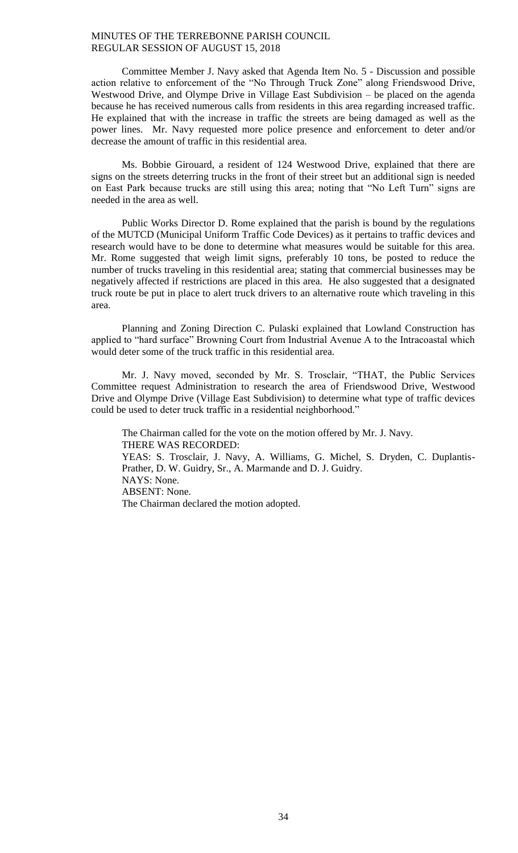Committee Member J. Navy asked that Agenda Item No. 5 - Discussion and possible action relative to enforcement of the "No Through Truck Zone" along Friendswood Drive, Westwood Drive, and Olympe Drive in Village East Subdivision – be placed on the agenda because he has received numerous calls from residents in this area regarding increased traffic. He explained that with the increase in traffic the streets are being damaged as well as the power lines. Mr. Navy requested more police presence and enforcement to deter and/or decrease the amount of traffic in this residential area.

Ms. Bobbie Girouard, a resident of 124 Westwood Drive, explained that there are signs on the streets deterring trucks in the front of their street but an additional sign is needed on East Park because trucks are still using this area; noting that "No Left Turn" signs are needed in the area as well.

Public Works Director D. Rome explained that the parish is bound by the regulations of the MUTCD (Municipal Uniform Traffic Code Devices) as it pertains to traffic devices and research would have to be done to determine what measures would be suitable for this area. Mr. Rome suggested that weigh limit signs, preferably 10 tons, be posted to reduce the number of trucks traveling in this residential area; stating that commercial businesses may be negatively affected if restrictions are placed in this area. He also suggested that a designated truck route be put in place to alert truck drivers to an alternative route which traveling in this area.

Planning and Zoning Direction C. Pulaski explained that Lowland Construction has applied to "hard surface" Browning Court from Industrial Avenue A to the Intracoastal which would deter some of the truck traffic in this residential area.

Mr. J. Navy moved, seconded by Mr. S. Trosclair, "THAT, the Public Services Committee request Administration to research the area of Friendswood Drive, Westwood Drive and Olympe Drive (Village East Subdivision) to determine what type of traffic devices could be used to deter truck traffic in a residential neighborhood."

The Chairman called for the vote on the motion offered by Mr. J. Navy. THERE WAS RECORDED: YEAS: S. Trosclair, J. Navy, A. Williams, G. Michel, S. Dryden, C. Duplantis-Prather, D. W. Guidry, Sr., A. Marmande and D. J. Guidry. NAYS: None. ABSENT: None. The Chairman declared the motion adopted.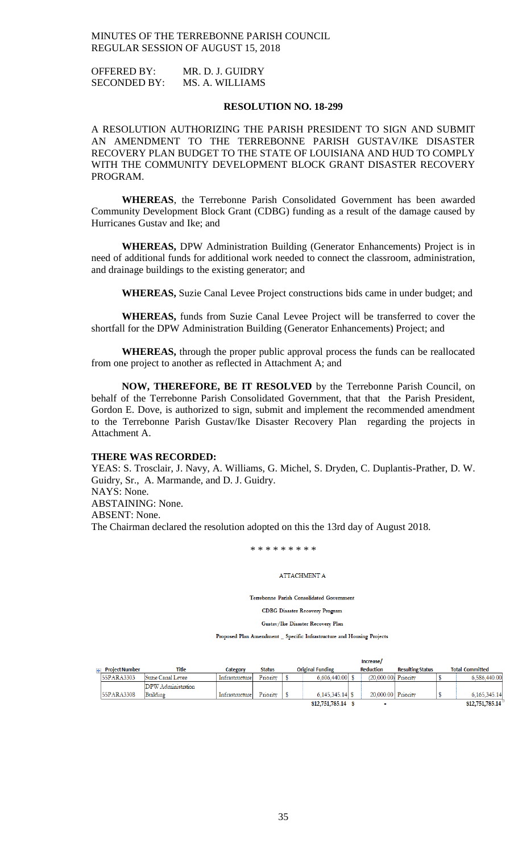OFFERED BY: MR. D. J. GUIDRY SECONDED BY: MS. A. WILLIAMS

### **RESOLUTION NO. 18-299**

A RESOLUTION AUTHORIZING THE PARISH PRESIDENT TO SIGN AND SUBMIT AN AMENDMENT TO THE TERREBONNE PARISH GUSTAV/IKE DISASTER RECOVERY PLAN BUDGET TO THE STATE OF LOUISIANA AND HUD TO COMPLY WITH THE COMMUNITY DEVELOPMENT BLOCK GRANT DISASTER RECOVERY PROGRAM.

**WHEREAS**, the Terrebonne Parish Consolidated Government has been awarded Community Development Block Grant (CDBG) funding as a result of the damage caused by Hurricanes Gustav and Ike; and

**WHEREAS,** DPW Administration Building (Generator Enhancements) Project is in need of additional funds for additional work needed to connect the classroom, administration, and drainage buildings to the existing generator; and

**WHEREAS,** Suzie Canal Levee Project constructions bids came in under budget; and

**WHEREAS,** funds from Suzie Canal Levee Project will be transferred to cover the shortfall for the DPW Administration Building (Generator Enhancements) Project; and

**WHEREAS,** through the proper public approval process the funds can be reallocated from one project to another as reflected in Attachment A; and

**NOW, THEREFORE, BE IT RESOLVED** by the Terrebonne Parish Council, on behalf of the Terrebonne Parish Consolidated Government, that that the Parish President, Gordon E. Dove, is authorized to sign, submit and implement the recommended amendment to the Terrebonne Parish Gustav/Ike Disaster Recovery Plan regarding the projects in Attachment A.

### **THERE WAS RECORDED:**

YEAS: S. Trosclair, J. Navy, A. Williams, G. Michel, S. Dryden, C. Duplantis-Prather, D. W. Guidry, Sr., A. Marmande, and D. J. Guidry. NAYS: None. ABSTAINING: None. ABSENT: None. The Chairman declared the resolution adopted on this the 13rd day of August 2018.

\* \* \* \* \* \* \* \* \*

### **ATTACHMENT A**

Terrebonne Parish Consolidated Government

**CDBG** Disaster Recovery Program

Gustav/Ike Disaster Recovery Plan

Proposed Plan Amendment \_ Specific Infrastructure and Housing Projects

|                |                       |                    |                |               |  |                         | Increase/          |                         |                        |
|----------------|-----------------------|--------------------|----------------|---------------|--|-------------------------|--------------------|-------------------------|------------------------|
| $\overline{+}$ | <b>Project Number</b> | Title              | Category       | <b>Status</b> |  | <b>Original Funding</b> | <b>Reduction</b>   | <b>Resulting Status</b> | <b>Total Committed</b> |
|                | 55PARA3303            | Suzie Canal Levee  | Infrastructure | Priority      |  | $6,606,440.00$ \$       | (20.000.00)        | Priority                | 6,586,440.00           |
|                |                       | DPW Administration |                |               |  |                         |                    |                         |                        |
|                | 55PARA3308            | Building           | Infrastructure | Priority      |  | $6.145.345.14$ \$       | 20,000,00 Priority |                         | 6.165.345.14           |
|                |                       |                    |                |               |  | \$12,751,785.14         |                    |                         | \$12,751,785.14        |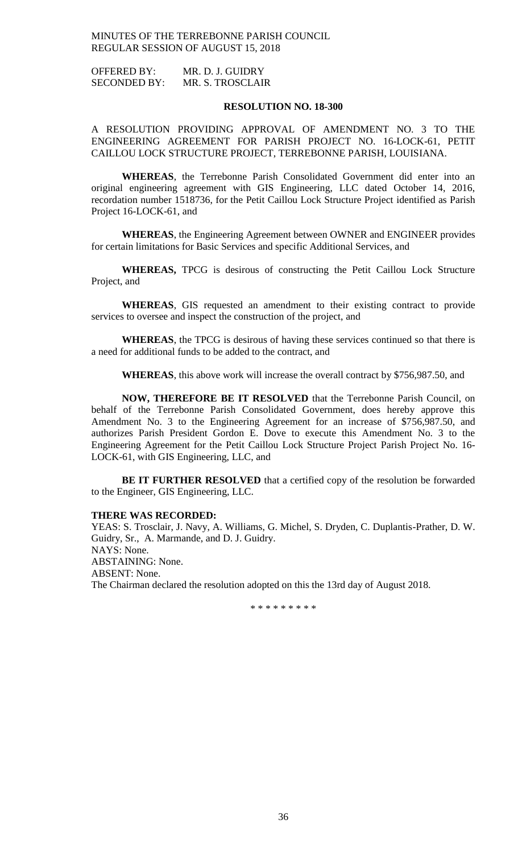OFFERED BY: MR. D. J. GUIDRY SECONDED BY: MR. S. TROSCLAIR

### **RESOLUTION NO. 18-300**

A RESOLUTION PROVIDING APPROVAL OF AMENDMENT NO. 3 TO THE ENGINEERING AGREEMENT FOR PARISH PROJECT NO. 16-LOCK-61, PETIT CAILLOU LOCK STRUCTURE PROJECT, TERREBONNE PARISH, LOUISIANA.

**WHEREAS**, the Terrebonne Parish Consolidated Government did enter into an original engineering agreement with GIS Engineering, LLC dated October 14, 2016, recordation number 1518736, for the Petit Caillou Lock Structure Project identified as Parish Project 16-LOCK-61, and

**WHEREAS**, the Engineering Agreement between OWNER and ENGINEER provides for certain limitations for Basic Services and specific Additional Services, and

**WHEREAS,** TPCG is desirous of constructing the Petit Caillou Lock Structure Project, and

**WHEREAS**, GIS requested an amendment to their existing contract to provide services to oversee and inspect the construction of the project, and

**WHEREAS**, the TPCG is desirous of having these services continued so that there is a need for additional funds to be added to the contract, and

**WHEREAS**, this above work will increase the overall contract by \$756,987.50, and

**NOW, THEREFORE BE IT RESOLVED** that the Terrebonne Parish Council, on behalf of the Terrebonne Parish Consolidated Government, does hereby approve this Amendment No. 3 to the Engineering Agreement for an increase of \$756,987.50, and authorizes Parish President Gordon E. Dove to execute this Amendment No. 3 to the Engineering Agreement for the Petit Caillou Lock Structure Project Parish Project No. 16- LOCK-61, with GIS Engineering, LLC, and

**BE IT FURTHER RESOLVED** that a certified copy of the resolution be forwarded to the Engineer, GIS Engineering, LLC.

### **THERE WAS RECORDED:**

YEAS: S. Trosclair, J. Navy, A. Williams, G. Michel, S. Dryden, C. Duplantis-Prather, D. W. Guidry, Sr., A. Marmande, and D. J. Guidry. NAYS: None. ABSTAINING: None. ABSENT: None. The Chairman declared the resolution adopted on this the 13rd day of August 2018.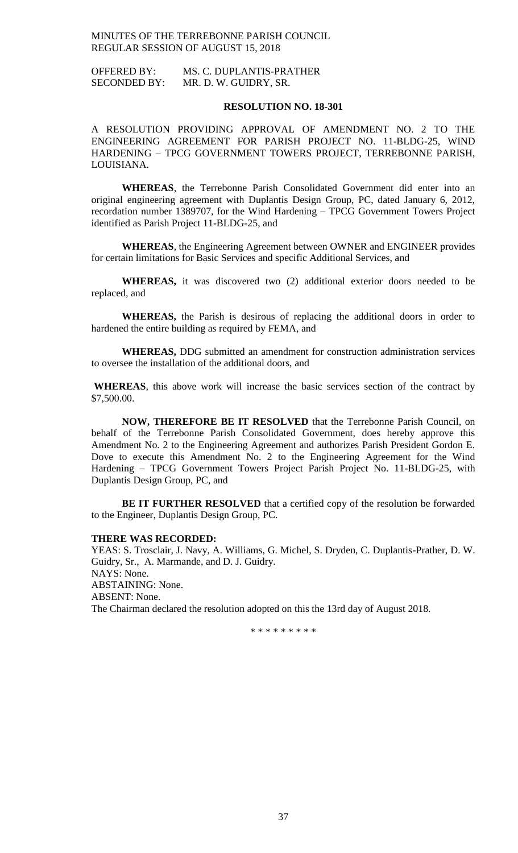OFFERED BY: MS. C. DUPLANTIS-PRATHER SECONDED BY: MR. D. W. GUIDRY, SR.

### **RESOLUTION NO. 18-301**

A RESOLUTION PROVIDING APPROVAL OF AMENDMENT NO. 2 TO THE ENGINEERING AGREEMENT FOR PARISH PROJECT NO. 11-BLDG-25, WIND HARDENING – TPCG GOVERNMENT TOWERS PROJECT, TERREBONNE PARISH, LOUISIANA.

**WHEREAS**, the Terrebonne Parish Consolidated Government did enter into an original engineering agreement with Duplantis Design Group, PC, dated January 6, 2012, recordation number 1389707, for the Wind Hardening – TPCG Government Towers Project identified as Parish Project 11-BLDG-25, and

**WHEREAS**, the Engineering Agreement between OWNER and ENGINEER provides for certain limitations for Basic Services and specific Additional Services, and

**WHEREAS,** it was discovered two (2) additional exterior doors needed to be replaced, and

**WHEREAS,** the Parish is desirous of replacing the additional doors in order to hardened the entire building as required by FEMA, and

**WHEREAS,** DDG submitted an amendment for construction administration services to oversee the installation of the additional doors, and

**WHEREAS**, this above work will increase the basic services section of the contract by \$7,500.00.

**NOW, THEREFORE BE IT RESOLVED** that the Terrebonne Parish Council, on behalf of the Terrebonne Parish Consolidated Government, does hereby approve this Amendment No. 2 to the Engineering Agreement and authorizes Parish President Gordon E. Dove to execute this Amendment No. 2 to the Engineering Agreement for the Wind Hardening – TPCG Government Towers Project Parish Project No. 11-BLDG-25, with Duplantis Design Group, PC, and

**BE IT FURTHER RESOLVED** that a certified copy of the resolution be forwarded to the Engineer, Duplantis Design Group, PC.

### **THERE WAS RECORDED:**

YEAS: S. Trosclair, J. Navy, A. Williams, G. Michel, S. Dryden, C. Duplantis-Prather, D. W. Guidry, Sr., A. Marmande, and D. J. Guidry. NAYS: None. ABSTAINING: None. ABSENT: None. The Chairman declared the resolution adopted on this the 13rd day of August 2018.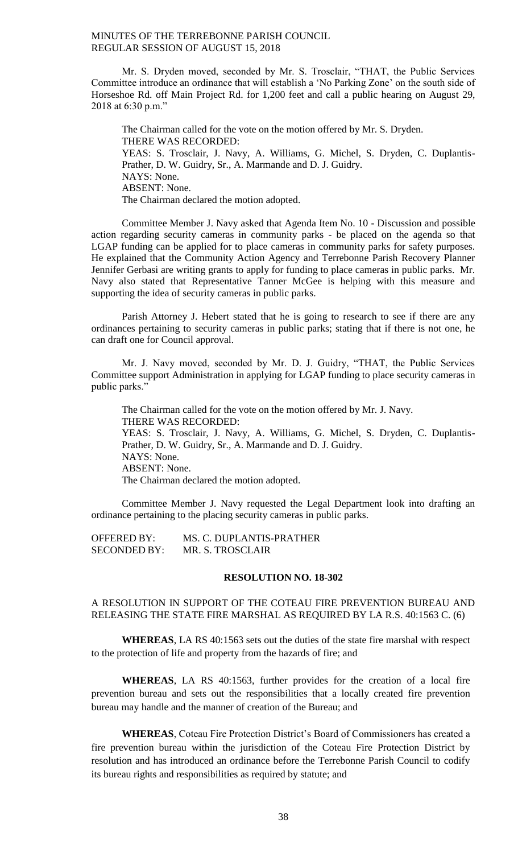Mr. S. Dryden moved, seconded by Mr. S. Trosclair, "THAT, the Public Services Committee introduce an ordinance that will establish a 'No Parking Zone' on the south side of Horseshoe Rd. off Main Project Rd. for 1,200 feet and call a public hearing on August 29, 2018 at 6:30 p.m."

The Chairman called for the vote on the motion offered by Mr. S. Dryden. THERE WAS RECORDED: YEAS: S. Trosclair, J. Navy, A. Williams, G. Michel, S. Dryden, C. Duplantis-Prather, D. W. Guidry, Sr., A. Marmande and D. J. Guidry. NAYS: None. ABSENT: None. The Chairman declared the motion adopted.

Committee Member J. Navy asked that Agenda Item No. 10 - Discussion and possible action regarding security cameras in community parks - be placed on the agenda so that LGAP funding can be applied for to place cameras in community parks for safety purposes. He explained that the Community Action Agency and Terrebonne Parish Recovery Planner Jennifer Gerbasi are writing grants to apply for funding to place cameras in public parks. Mr. Navy also stated that Representative Tanner McGee is helping with this measure and supporting the idea of security cameras in public parks.

Parish Attorney J. Hebert stated that he is going to research to see if there are any ordinances pertaining to security cameras in public parks; stating that if there is not one, he can draft one for Council approval.

Mr. J. Navy moved, seconded by Mr. D. J. Guidry, "THAT, the Public Services Committee support Administration in applying for LGAP funding to place security cameras in public parks."

The Chairman called for the vote on the motion offered by Mr. J. Navy. THERE WAS RECORDED: YEAS: S. Trosclair, J. Navy, A. Williams, G. Michel, S. Dryden, C. Duplantis-Prather, D. W. Guidry, Sr., A. Marmande and D. J. Guidry. NAYS: None. ABSENT: None. The Chairman declared the motion adopted.

Committee Member J. Navy requested the Legal Department look into drafting an ordinance pertaining to the placing security cameras in public parks.

| <b>OFFERED BY:</b>  | MS. C. DUPLANTIS-PRATHER |
|---------------------|--------------------------|
| <b>SECONDED BY:</b> | MR. S. TROSCLAIR         |

### **RESOLUTION NO. 18-302**

## A RESOLUTION IN SUPPORT OF THE COTEAU FIRE PREVENTION BUREAU AND RELEASING THE STATE FIRE MARSHAL AS REQUIRED BY LA R.S. 40:1563 C. (6)

**WHEREAS**, LA RS 40:1563 sets out the duties of the state fire marshal with respect to the protection of life and property from the hazards of fire; and

**WHEREAS**, LA RS 40:1563, further provides for the creation of a local fire prevention bureau and sets out the responsibilities that a locally created fire prevention bureau may handle and the manner of creation of the Bureau; and

**WHEREAS**, Coteau Fire Protection District's Board of Commissioners has created a fire prevention bureau within the jurisdiction of the Coteau Fire Protection District by resolution and has introduced an ordinance before the Terrebonne Parish Council to codify its bureau rights and responsibilities as required by statute; and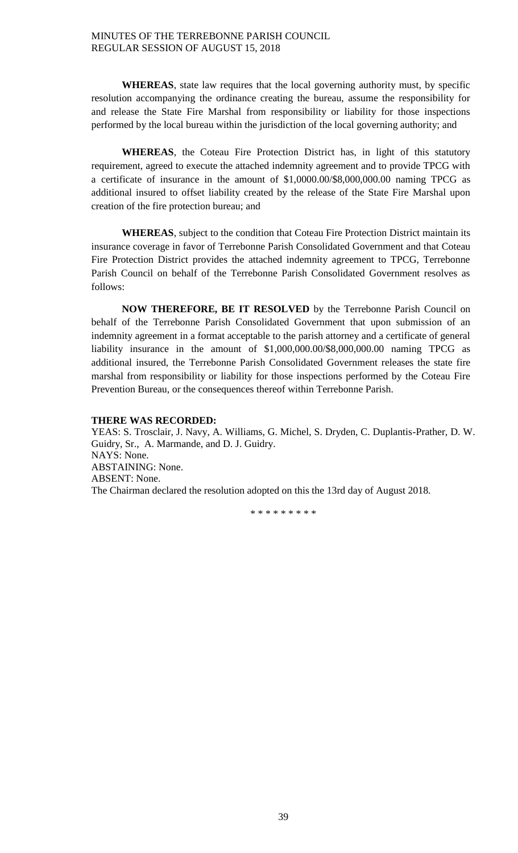**WHEREAS**, state law requires that the local governing authority must, by specific resolution accompanying the ordinance creating the bureau, assume the responsibility for and release the State Fire Marshal from responsibility or liability for those inspections performed by the local bureau within the jurisdiction of the local governing authority; and

**WHEREAS**, the Coteau Fire Protection District has, in light of this statutory requirement, agreed to execute the attached indemnity agreement and to provide TPCG with a certificate of insurance in the amount of \$1,0000.00/\$8,000,000.00 naming TPCG as additional insured to offset liability created by the release of the State Fire Marshal upon creation of the fire protection bureau; and

**WHEREAS**, subject to the condition that Coteau Fire Protection District maintain its insurance coverage in favor of Terrebonne Parish Consolidated Government and that Coteau Fire Protection District provides the attached indemnity agreement to TPCG, Terrebonne Parish Council on behalf of the Terrebonne Parish Consolidated Government resolves as follows:

**NOW THEREFORE, BE IT RESOLVED** by the Terrebonne Parish Council on behalf of the Terrebonne Parish Consolidated Government that upon submission of an indemnity agreement in a format acceptable to the parish attorney and a certificate of general liability insurance in the amount of \$1,000,000.00/\$8,000,000.00 naming TPCG as additional insured, the Terrebonne Parish Consolidated Government releases the state fire marshal from responsibility or liability for those inspections performed by the Coteau Fire Prevention Bureau, or the consequences thereof within Terrebonne Parish.

## **THERE WAS RECORDED:**

YEAS: S. Trosclair, J. Navy, A. Williams, G. Michel, S. Dryden, C. Duplantis-Prather, D. W. Guidry, Sr., A. Marmande, and D. J. Guidry. NAYS: None. ABSTAINING: None. ABSENT: None. The Chairman declared the resolution adopted on this the 13rd day of August 2018.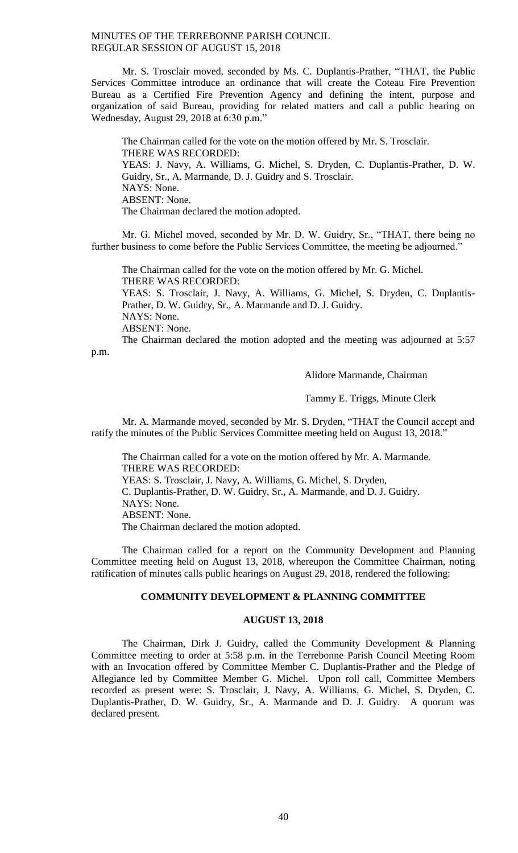Mr. S. Trosclair moved, seconded by Ms. C. Duplantis-Prather, "THAT, the Public Services Committee introduce an ordinance that will create the Coteau Fire Prevention Bureau as a Certified Fire Prevention Agency and defining the intent, purpose and organization of said Bureau, providing for related matters and call a public hearing on Wednesday, August 29, 2018 at 6:30 p.m."

The Chairman called for the vote on the motion offered by Mr. S. Trosclair. THERE WAS RECORDED: YEAS: J. Navy, A. Williams, G. Michel, S. Dryden, C. Duplantis-Prather, D. W. Guidry, Sr., A. Marmande, D. J. Guidry and S. Trosclair. NAYS: None. ABSENT: None. The Chairman declared the motion adopted.

Mr. G. Michel moved, seconded by Mr. D. W. Guidry, Sr., "THAT, there being no further business to come before the Public Services Committee, the meeting be adjourned."

The Chairman called for the vote on the motion offered by Mr. G. Michel. THERE WAS RECORDED:

YEAS: S. Trosclair, J. Navy, A. Williams, G. Michel, S. Dryden, C. Duplantis-Prather, D. W. Guidry, Sr., A. Marmande and D. J. Guidry. NAYS: None. ABSENT: None.

The Chairman declared the motion adopted and the meeting was adjourned at 5:57

p.m.

# Alidore Marmande, Chairman

Tammy E. Triggs, Minute Clerk

Mr. A. Marmande moved, seconded by Mr. S. Dryden, "THAT the Council accept and ratify the minutes of the Public Services Committee meeting held on August 13, 2018."

The Chairman called for a vote on the motion offered by Mr. A. Marmande. THERE WAS RECORDED: YEAS: S. Trosclair, J. Navy, A. Williams, G. Michel, S. Dryden, C. Duplantis-Prather, D. W. Guidry, Sr., A. Marmande, and D. J. Guidry. NAYS: None. ABSENT: None. The Chairman declared the motion adopted.

The Chairman called for a report on the Community Development and Planning Committee meeting held on August 13, 2018, whereupon the Committee Chairman, noting ratification of minutes calls public hearings on August 29, 2018, rendered the following:

### **COMMUNITY DEVELOPMENT & PLANNING COMMITTEE**

### **AUGUST 13, 2018**

The Chairman, Dirk J. Guidry, called the Community Development & Planning Committee meeting to order at 5:58 p.m. in the Terrebonne Parish Council Meeting Room with an Invocation offered by Committee Member C. Duplantis-Prather and the Pledge of Allegiance led by Committee Member G. Michel. Upon roll call, Committee Members recorded as present were: S. Trosclair, J. Navy, A. Williams, G. Michel, S. Dryden, C. Duplantis-Prather, D. W. Guidry, Sr., A. Marmande and D. J. Guidry. A quorum was declared present.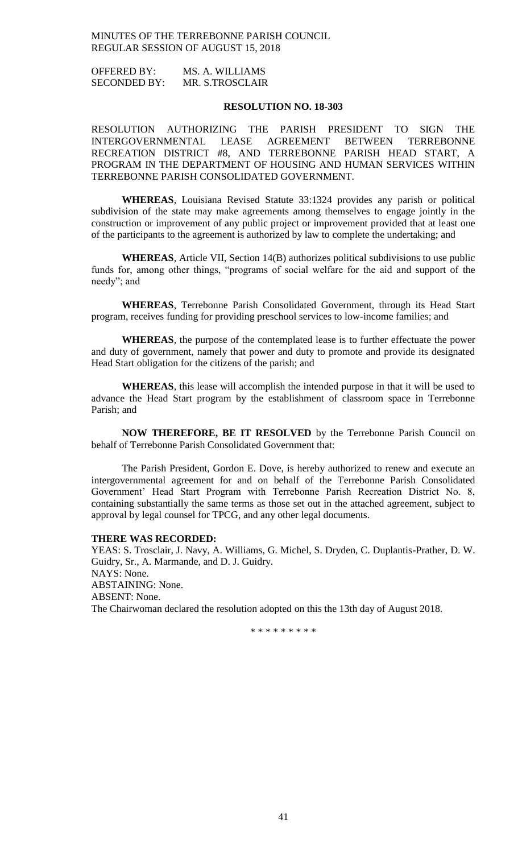OFFERED BY: MS. A. WILLIAMS SECONDED BY: MR. S.TROSCLAIR

## **RESOLUTION NO. 18-303**

RESOLUTION AUTHORIZING THE PARISH PRESIDENT TO SIGN THE INTERGOVERNMENTAL LEASE AGREEMENT BETWEEN TERREBONNE RECREATION DISTRICT #8, AND TERREBONNE PARISH HEAD START, A PROGRAM IN THE DEPARTMENT OF HOUSING AND HUMAN SERVICES WITHIN TERREBONNE PARISH CONSOLIDATED GOVERNMENT.

**WHEREAS**, Louisiana Revised Statute 33:1324 provides any parish or political subdivision of the state may make agreements among themselves to engage jointly in the construction or improvement of any public project or improvement provided that at least one of the participants to the agreement is authorized by law to complete the undertaking; and

**WHEREAS**, Article VII, Section 14(B) authorizes political subdivisions to use public funds for, among other things, "programs of social welfare for the aid and support of the needy"; and

**WHEREAS**, Terrebonne Parish Consolidated Government, through its Head Start program, receives funding for providing preschool services to low-income families; and

**WHEREAS**, the purpose of the contemplated lease is to further effectuate the power and duty of government, namely that power and duty to promote and provide its designated Head Start obligation for the citizens of the parish; and

**WHEREAS**, this lease will accomplish the intended purpose in that it will be used to advance the Head Start program by the establishment of classroom space in Terrebonne Parish; and

**NOW THEREFORE, BE IT RESOLVED** by the Terrebonne Parish Council on behalf of Terrebonne Parish Consolidated Government that:

The Parish President, Gordon E. Dove, is hereby authorized to renew and execute an intergovernmental agreement for and on behalf of the Terrebonne Parish Consolidated Government' Head Start Program with Terrebonne Parish Recreation District No. 8, containing substantially the same terms as those set out in the attached agreement, subject to approval by legal counsel for TPCG, and any other legal documents.

### **THERE WAS RECORDED:**

YEAS: S. Trosclair, J. Navy, A. Williams, G. Michel, S. Dryden, C. Duplantis-Prather, D. W. Guidry, Sr., A. Marmande, and D. J. Guidry. NAYS: None. ABSTAINING: None. ABSENT: None. The Chairwoman declared the resolution adopted on this the 13th day of August 2018.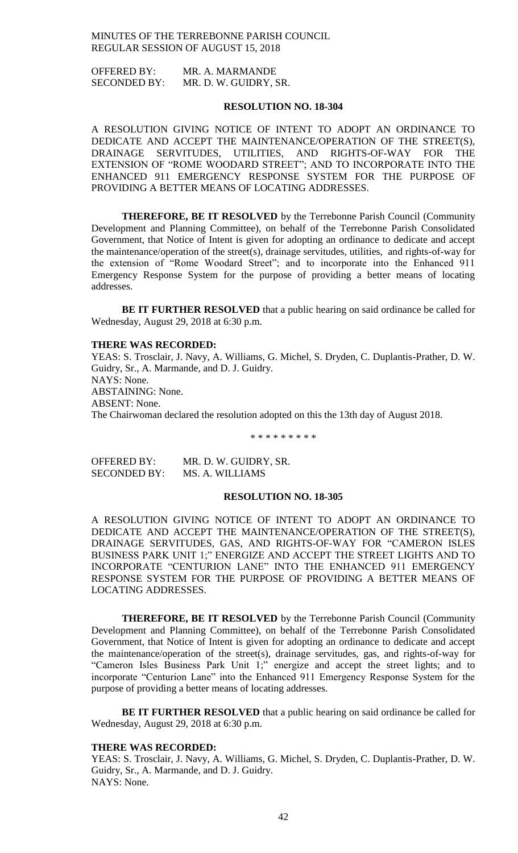OFFERED BY: MR. A. MARMANDE SECONDED BY: MR. D. W. GUIDRY, SR.

### **RESOLUTION NO. 18-304**

A RESOLUTION GIVING NOTICE OF INTENT TO ADOPT AN ORDINANCE TO DEDICATE AND ACCEPT THE MAINTENANCE/OPERATION OF THE STREET(S), DRAINAGE SERVITUDES, UTILITIES, AND RIGHTS-OF-WAY FOR THE EXTENSION OF "ROME WOODARD STREET"; AND TO INCORPORATE INTO THE ENHANCED 911 EMERGENCY RESPONSE SYSTEM FOR THE PURPOSE OF PROVIDING A BETTER MEANS OF LOCATING ADDRESSES.

**THEREFORE, BE IT RESOLVED** by the Terrebonne Parish Council (Community Development and Planning Committee), on behalf of the Terrebonne Parish Consolidated Government, that Notice of Intent is given for adopting an ordinance to dedicate and accept the maintenance/operation of the street(s), drainage servitudes, utilities, and rights-of-way for the extension of "Rome Woodard Street"; and to incorporate into the Enhanced 911 Emergency Response System for the purpose of providing a better means of locating addresses.

**BE IT FURTHER RESOLVED** that a public hearing on said ordinance be called for Wednesday, August 29, 2018 at 6:30 p.m.

### **THERE WAS RECORDED:**

YEAS: S. Trosclair, J. Navy, A. Williams, G. Michel, S. Dryden, C. Duplantis-Prather, D. W. Guidry, Sr., A. Marmande, and D. J. Guidry. NAYS: None. ABSTAINING: None. ABSENT: None. The Chairwoman declared the resolution adopted on this the 13th day of August 2018.

\* \* \* \* \* \* \* \* \*

| <b>OFFERED BY:</b>  | MR. D. W. GUIDRY, SR. |
|---------------------|-----------------------|
| <b>SECONDED BY:</b> | MS. A. WILLIAMS       |

### **RESOLUTION NO. 18-305**

A RESOLUTION GIVING NOTICE OF INTENT TO ADOPT AN ORDINANCE TO DEDICATE AND ACCEPT THE MAINTENANCE/OPERATION OF THE STREET(S), DRAINAGE SERVITUDES, GAS, AND RIGHTS-OF-WAY FOR "CAMERON ISLES BUSINESS PARK UNIT 1;" ENERGIZE AND ACCEPT THE STREET LIGHTS AND TO INCORPORATE "CENTURION LANE" INTO THE ENHANCED 911 EMERGENCY RESPONSE SYSTEM FOR THE PURPOSE OF PROVIDING A BETTER MEANS OF LOCATING ADDRESSES.

**THEREFORE, BE IT RESOLVED** by the Terrebonne Parish Council (Community Development and Planning Committee), on behalf of the Terrebonne Parish Consolidated Government, that Notice of Intent is given for adopting an ordinance to dedicate and accept the maintenance/operation of the street(s), drainage servitudes, gas, and rights-of-way for "Cameron Isles Business Park Unit 1;" energize and accept the street lights; and to incorporate "Centurion Lane" into the Enhanced 911 Emergency Response System for the purpose of providing a better means of locating addresses.

**BE IT FURTHER RESOLVED** that a public hearing on said ordinance be called for Wednesday, August 29, 2018 at 6:30 p.m.

### **THERE WAS RECORDED:**

YEAS: S. Trosclair, J. Navy, A. Williams, G. Michel, S. Dryden, C. Duplantis-Prather, D. W. Guidry, Sr., A. Marmande, and D. J. Guidry. NAYS: None.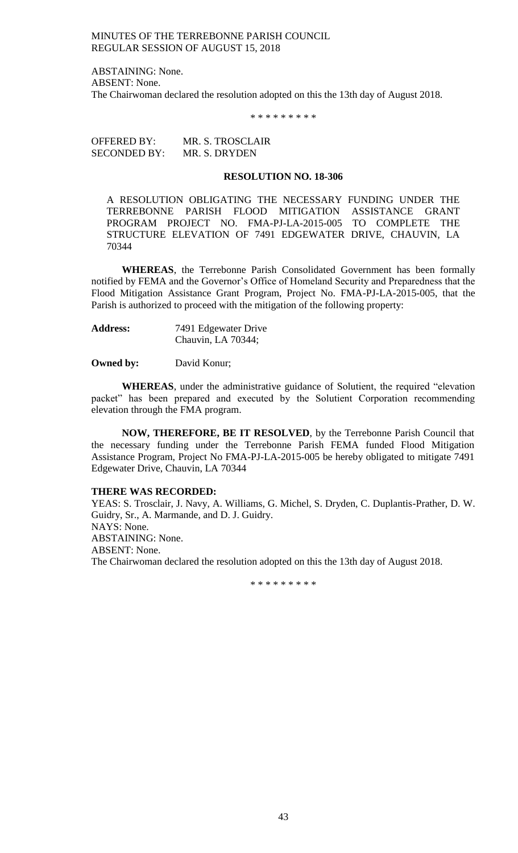ABSTAINING: None. ABSENT: None. The Chairwoman declared the resolution adopted on this the 13th day of August 2018.

\* \* \* \* \* \* \* \* \*

OFFERED BY: MR. S. TROSCLAIR SECONDED BY: MR. S. DRYDEN

### **RESOLUTION NO. 18-306**

A RESOLUTION OBLIGATING THE NECESSARY FUNDING UNDER THE TERREBONNE PARISH FLOOD MITIGATION ASSISTANCE GRANT PROGRAM PROJECT NO. FMA-PJ-LA-2015-005 TO COMPLETE THE STRUCTURE ELEVATION OF 7491 EDGEWATER DRIVE, CHAUVIN, LA 70344

**WHEREAS**, the Terrebonne Parish Consolidated Government has been formally notified by FEMA and the Governor's Office of Homeland Security and Preparedness that the Flood Mitigation Assistance Grant Program, Project No. FMA-PJ-LA-2015-005, that the Parish is authorized to proceed with the mitigation of the following property:

**Address:** 7491 Edgewater Drive Chauvin, LA 70344;

**Owned by:** David Konur;

**WHEREAS**, under the administrative guidance of Solutient, the required "elevation packet" has been prepared and executed by the Solutient Corporation recommending elevation through the FMA program.

**NOW, THEREFORE, BE IT RESOLVED**, by the Terrebonne Parish Council that the necessary funding under the Terrebonne Parish FEMA funded Flood Mitigation Assistance Program, Project No FMA-PJ-LA-2015-005 be hereby obligated to mitigate 7491 Edgewater Drive, Chauvin, LA 70344

### **THERE WAS RECORDED:**

YEAS: S. Trosclair, J. Navy, A. Williams, G. Michel, S. Dryden, C. Duplantis-Prather, D. W. Guidry, Sr., A. Marmande, and D. J. Guidry. NAYS: None. ABSTAINING: None. ABSENT: None. The Chairwoman declared the resolution adopted on this the 13th day of August 2018.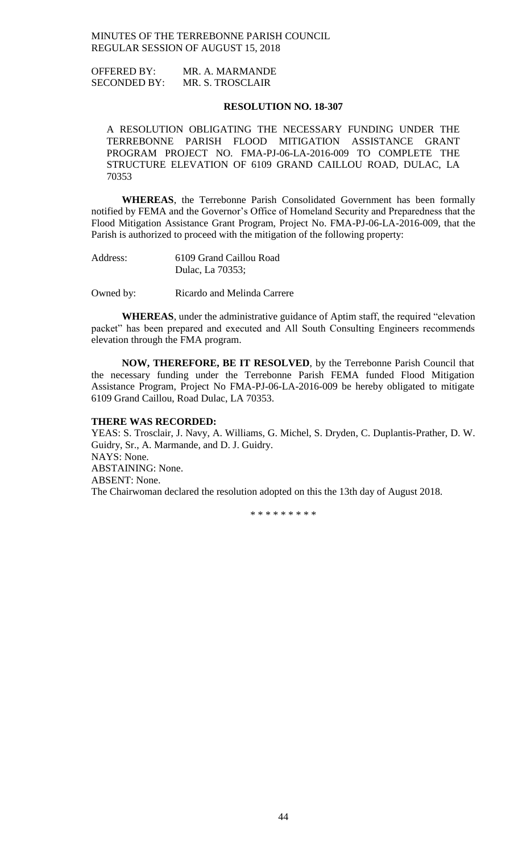OFFERED BY: MR. A. MARMANDE SECONDED BY: MR. S. TROSCLAIR

### **RESOLUTION NO. 18-307**

A RESOLUTION OBLIGATING THE NECESSARY FUNDING UNDER THE TERREBONNE PARISH FLOOD MITIGATION ASSISTANCE GRANT PROGRAM PROJECT NO. FMA-PJ-06-LA-2016-009 TO COMPLETE THE STRUCTURE ELEVATION OF 6109 GRAND CAILLOU ROAD, DULAC, LA 70353

**WHEREAS**, the Terrebonne Parish Consolidated Government has been formally notified by FEMA and the Governor's Office of Homeland Security and Preparedness that the Flood Mitigation Assistance Grant Program, Project No. FMA-PJ-06-LA-2016-009, that the Parish is authorized to proceed with the mitigation of the following property:

Address: 6109 Grand Caillou Road Dulac, La 70353;

Owned by: Ricardo and Melinda Carrere

**WHEREAS**, under the administrative guidance of Aptim staff, the required "elevation packet" has been prepared and executed and All South Consulting Engineers recommends elevation through the FMA program.

**NOW, THEREFORE, BE IT RESOLVED**, by the Terrebonne Parish Council that the necessary funding under the Terrebonne Parish FEMA funded Flood Mitigation Assistance Program, Project No FMA-PJ-06-LA-2016-009 be hereby obligated to mitigate 6109 Grand Caillou, Road Dulac, LA 70353.

### **THERE WAS RECORDED:**

YEAS: S. Trosclair, J. Navy, A. Williams, G. Michel, S. Dryden, C. Duplantis-Prather, D. W. Guidry, Sr., A. Marmande, and D. J. Guidry. NAYS: None. ABSTAINING: None. ABSENT: None. The Chairwoman declared the resolution adopted on this the 13th day of August 2018.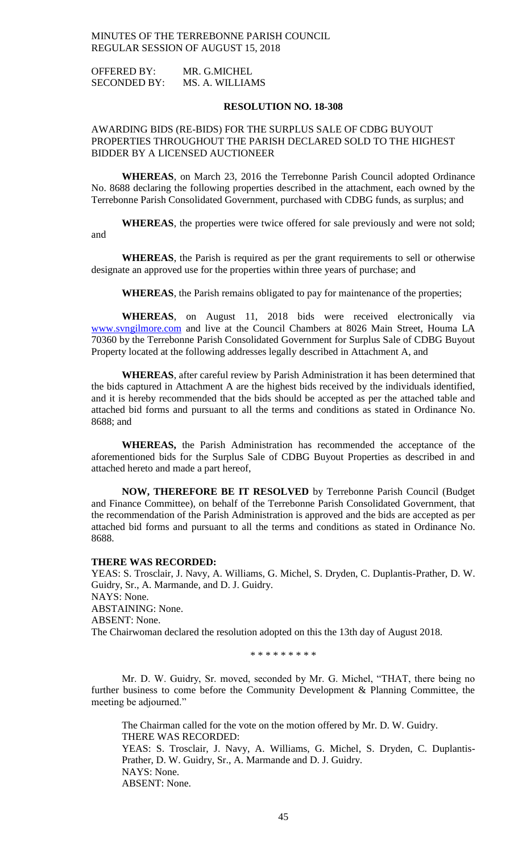OFFERED BY: MR. G.MICHEL SECONDED BY: MS. A. WILLIAMS

### **RESOLUTION NO. 18-308**

## AWARDING BIDS (RE-BIDS) FOR THE SURPLUS SALE OF CDBG BUYOUT PROPERTIES THROUGHOUT THE PARISH DECLARED SOLD TO THE HIGHEST BIDDER BY A LICENSED AUCTIONEER

**WHEREAS**, on March 23, 2016 the Terrebonne Parish Council adopted Ordinance No. 8688 declaring the following properties described in the attachment, each owned by the Terrebonne Parish Consolidated Government, purchased with CDBG funds, as surplus; and

**WHEREAS**, the properties were twice offered for sale previously and were not sold; and

**WHEREAS**, the Parish is required as per the grant requirements to sell or otherwise designate an approved use for the properties within three years of purchase; and

**WHEREAS**, the Parish remains obligated to pay for maintenance of the properties;

**WHEREAS**, on August 11, 2018 bids were received electronically via [www.svngilmore.com](http://www.svngilmore.com/) and live at the Council Chambers at 8026 Main Street, Houma LA 70360 by the Terrebonne Parish Consolidated Government for Surplus Sale of CDBG Buyout Property located at the following addresses legally described in Attachment A, and

**WHEREAS**, after careful review by Parish Administration it has been determined that the bids captured in Attachment A are the highest bids received by the individuals identified, and it is hereby recommended that the bids should be accepted as per the attached table and attached bid forms and pursuant to all the terms and conditions as stated in Ordinance No. 8688; and

**WHEREAS,** the Parish Administration has recommended the acceptance of the aforementioned bids for the Surplus Sale of CDBG Buyout Properties as described in and attached hereto and made a part hereof,

**NOW, THEREFORE BE IT RESOLVED** by Terrebonne Parish Council (Budget and Finance Committee), on behalf of the Terrebonne Parish Consolidated Government, that the recommendation of the Parish Administration is approved and the bids are accepted as per attached bid forms and pursuant to all the terms and conditions as stated in Ordinance No. 8688.

### **THERE WAS RECORDED:**

YEAS: S. Trosclair, J. Navy, A. Williams, G. Michel, S. Dryden, C. Duplantis-Prather, D. W. Guidry, Sr., A. Marmande, and D. J. Guidry. NAYS: None. ABSTAINING: None. ABSENT: None. The Chairwoman declared the resolution adopted on this the 13th day of August 2018.

\* \* \* \* \* \* \* \* \*

Mr. D. W. Guidry, Sr. moved, seconded by Mr. G. Michel, "THAT, there being no further business to come before the Community Development & Planning Committee, the meeting be adjourned."

The Chairman called for the vote on the motion offered by Mr. D. W. Guidry. THERE WAS RECORDED: YEAS: S. Trosclair, J. Navy, A. Williams, G. Michel, S. Dryden, C. Duplantis-Prather, D. W. Guidry, Sr., A. Marmande and D. J. Guidry. NAYS: None. ABSENT: None.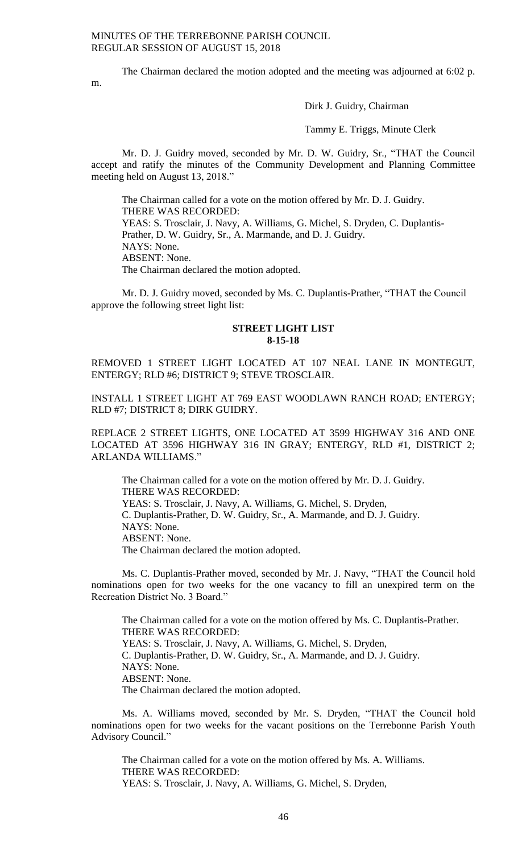m.

The Chairman declared the motion adopted and the meeting was adjourned at 6:02 p.

Dirk J. Guidry, Chairman

Tammy E. Triggs, Minute Clerk

Mr. D. J. Guidry moved, seconded by Mr. D. W. Guidry, Sr., "THAT the Council accept and ratify the minutes of the Community Development and Planning Committee meeting held on August 13, 2018."

The Chairman called for a vote on the motion offered by Mr. D. J. Guidry. THERE WAS RECORDED: YEAS: S. Trosclair, J. Navy, A. Williams, G. Michel, S. Dryden, C. Duplantis-Prather, D. W. Guidry, Sr., A. Marmande, and D. J. Guidry. NAYS: None. ABSENT: None. The Chairman declared the motion adopted.

Mr. D. J. Guidry moved, seconded by Ms. C. Duplantis-Prather, "THAT the Council approve the following street light list:

## **STREET LIGHT LIST 8-15-18**

REMOVED 1 STREET LIGHT LOCATED AT 107 NEAL LANE IN MONTEGUT, ENTERGY; RLD #6; DISTRICT 9; STEVE TROSCLAIR.

INSTALL 1 STREET LIGHT AT 769 EAST WOODLAWN RANCH ROAD; ENTERGY; RLD #7; DISTRICT 8; DIRK GUIDRY.

REPLACE 2 STREET LIGHTS, ONE LOCATED AT 3599 HIGHWAY 316 AND ONE LOCATED AT 3596 HIGHWAY 316 IN GRAY; ENTERGY, RLD #1, DISTRICT 2; ARLANDA WILLIAMS."

The Chairman called for a vote on the motion offered by Mr. D. J. Guidry. THERE WAS RECORDED: YEAS: S. Trosclair, J. Navy, A. Williams, G. Michel, S. Dryden, C. Duplantis-Prather, D. W. Guidry, Sr., A. Marmande, and D. J. Guidry. NAYS: None. ABSENT: None. The Chairman declared the motion adopted.

Ms. C. Duplantis-Prather moved, seconded by Mr. J. Navy, "THAT the Council hold nominations open for two weeks for the one vacancy to fill an unexpired term on the Recreation District No. 3 Board."

The Chairman called for a vote on the motion offered by Ms. C. Duplantis-Prather. THERE WAS RECORDED: YEAS: S. Trosclair, J. Navy, A. Williams, G. Michel, S. Dryden, C. Duplantis-Prather, D. W. Guidry, Sr., A. Marmande, and D. J. Guidry. NAYS: None. ABSENT: None. The Chairman declared the motion adopted.

Ms. A. Williams moved, seconded by Mr. S. Dryden, "THAT the Council hold nominations open for two weeks for the vacant positions on the Terrebonne Parish Youth Advisory Council."

The Chairman called for a vote on the motion offered by Ms. A. Williams. THERE WAS RECORDED: YEAS: S. Trosclair, J. Navy, A. Williams, G. Michel, S. Dryden,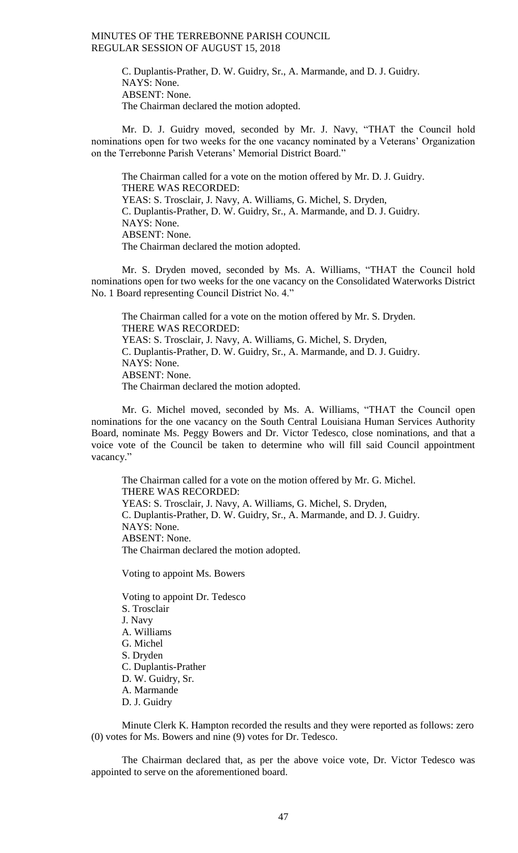C. Duplantis-Prather, D. W. Guidry, Sr., A. Marmande, and D. J. Guidry. NAYS: None. ABSENT: None. The Chairman declared the motion adopted.

Mr. D. J. Guidry moved, seconded by Mr. J. Navy, "THAT the Council hold nominations open for two weeks for the one vacancy nominated by a Veterans' Organization on the Terrebonne Parish Veterans' Memorial District Board."

The Chairman called for a vote on the motion offered by Mr. D. J. Guidry. THERE WAS RECORDED: YEAS: S. Trosclair, J. Navy, A. Williams, G. Michel, S. Dryden, C. Duplantis-Prather, D. W. Guidry, Sr., A. Marmande, and D. J. Guidry. NAYS: None. ABSENT: None. The Chairman declared the motion adopted.

Mr. S. Dryden moved, seconded by Ms. A. Williams, "THAT the Council hold nominations open for two weeks for the one vacancy on the Consolidated Waterworks District No. 1 Board representing Council District No. 4."

The Chairman called for a vote on the motion offered by Mr. S. Dryden. THERE WAS RECORDED: YEAS: S. Trosclair, J. Navy, A. Williams, G. Michel, S. Dryden, C. Duplantis-Prather, D. W. Guidry, Sr., A. Marmande, and D. J. Guidry. NAYS: None. ABSENT: None. The Chairman declared the motion adopted.

Mr. G. Michel moved, seconded by Ms. A. Williams, "THAT the Council open nominations for the one vacancy on the South Central Louisiana Human Services Authority Board, nominate Ms. Peggy Bowers and Dr. Victor Tedesco, close nominations, and that a voice vote of the Council be taken to determine who will fill said Council appointment vacancy."

The Chairman called for a vote on the motion offered by Mr. G. Michel. THERE WAS RECORDED: YEAS: S. Trosclair, J. Navy, A. Williams, G. Michel, S. Dryden, C. Duplantis-Prather, D. W. Guidry, Sr., A. Marmande, and D. J. Guidry. NAYS: None. ABSENT: None. The Chairman declared the motion adopted.

Voting to appoint Ms. Bowers

Voting to appoint Dr. Tedesco S. Trosclair J. Navy A. Williams G. Michel S. Dryden C. Duplantis-Prather D. W. Guidry, Sr. A. Marmande

D. J. Guidry

Minute Clerk K. Hampton recorded the results and they were reported as follows: zero (0) votes for Ms. Bowers and nine (9) votes for Dr. Tedesco.

The Chairman declared that, as per the above voice vote, Dr. Victor Tedesco was appointed to serve on the aforementioned board.